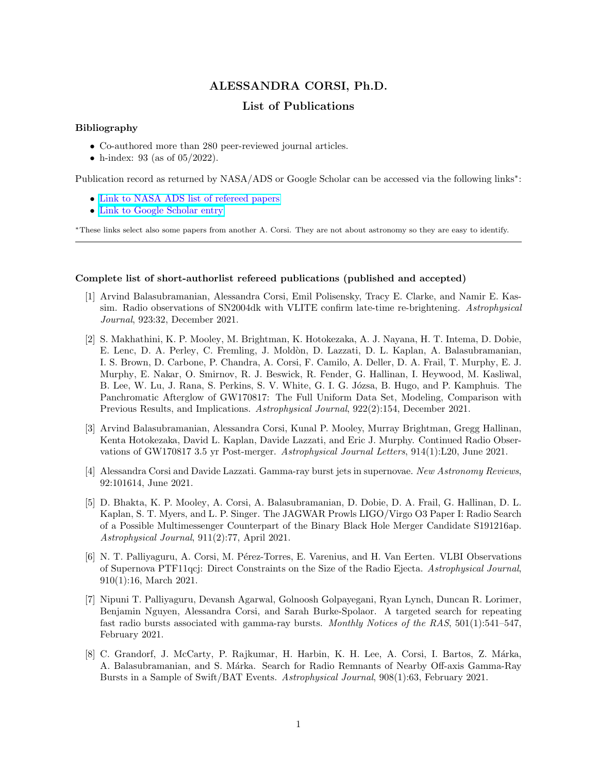# ALESSANDRA CORSI, Ph.D.

## List of Publications

#### Bibliography

- Co-authored more than 280 peer-reviewed journal articles.
- h-index: 93 (as of 05/2022).

Publication record as returned by NASA/ADS or Google Scholar can be accessed via the following links<sup>\*</sup>:

- *•* [Link to NASA ADS list of refereed papers](https://ui.adsabs.harvard.edu/search/fq=%7B!type%3Daqp%20v%3D%24fq_database%7D&fq=%7B!type%3Daqp%20v%3D%24fq_property%7D&fq_database=database%3A%20(astronomy%20OR%20physics)&fq_property=property%3A%20refereed&q=author%3A(%22corsi%2C%20alessandra%22)&sort=date%20desc%2C%20bibcode%20desc&p_=0)
- [Link to Google Scholar entry](https://scholar.google.com/citations?hl=en&user=iUih1UgAAAAJ)

⇤These links select also some papers from another A. Corsi. They are not about astronomy so they are easy to identify.

### Complete list of short-authorlist refereed publications (published and accepted)

- [1] Arvind Balasubramanian, Alessandra Corsi, Emil Polisensky, Tracy E. Clarke, and Namir E. Kassim. Radio observations of SN2004dk with VLITE confirm late-time re-brightening. *Astrophysical Journal*, 923:32, December 2021.
- [2] S. Makhathini, K. P. Mooley, M. Brightman, K. Hotokezaka, A. J. Nayana, H. T. Intema, D. Dobie, E. Lenc, D. A. Perley, C. Fremling, J. Moldòn, D. Lazzati, D. L. Kaplan, A. Balasubramanian, I. S. Brown, D. Carbone, P. Chandra, A. Corsi, F. Camilo, A. Deller, D. A. Frail, T. Murphy, E. J. Murphy, E. Nakar, O. Smirnov, R. J. Beswick, R. Fender, G. Hallinan, I. Heywood, M. Kasliwal, B. Lee, W. Lu, J. Rana, S. Perkins, S. V. White, G. I. G. Józsa, B. Hugo, and P. Kamphuis. The Panchromatic Afterglow of GW170817: The Full Uniform Data Set, Modeling, Comparison with Previous Results, and Implications. *Astrophysical Journal*, 922(2):154, December 2021.
- [3] Arvind Balasubramanian, Alessandra Corsi, Kunal P. Mooley, Murray Brightman, Gregg Hallinan, Kenta Hotokezaka, David L. Kaplan, Davide Lazzati, and Eric J. Murphy. Continued Radio Observations of GW170817 3.5 yr Post-merger. *Astrophysical Journal Letters*, 914(1):L20, June 2021.
- [4] Alessandra Corsi and Davide Lazzati. Gamma-ray burst jets in supernovae. *New Astronomy Reviews*, 92:101614, June 2021.
- [5] D. Bhakta, K. P. Mooley, A. Corsi, A. Balasubramanian, D. Dobie, D. A. Frail, G. Hallinan, D. L. Kaplan, S. T. Myers, and L. P. Singer. The JAGWAR Prowls LIGO/Virgo O3 Paper I: Radio Search of a Possible Multimessenger Counterpart of the Binary Black Hole Merger Candidate S191216ap. *Astrophysical Journal*, 911(2):77, April 2021.
- [6] N. T. Palliyaguru, A. Corsi, M. Pérez-Torres, E. Varenius, and H. Van Eerten. VLBI Observations of Supernova PTF11qcj: Direct Constraints on the Size of the Radio Ejecta. *Astrophysical Journal*, 910(1):16, March 2021.
- [7] Nipuni T. Palliyaguru, Devansh Agarwal, Golnoosh Golpayegani, Ryan Lynch, Duncan R. Lorimer, Benjamin Nguyen, Alessandra Corsi, and Sarah Burke-Spolaor. A targeted search for repeating fast radio bursts associated with gamma-ray bursts. *Monthly Notices of the RAS*, 501(1):541–547, February 2021.
- [8] C. Grandorf, J. McCarty, P. Rajkumar, H. Harbin, K. H. Lee, A. Corsi, I. Bartos, Z. Márka, A. Balasubramanian, and S. Márka. Search for Radio Remnants of Nearby Off-axis Gamma-Ray Bursts in a Sample of Swift/BAT Events. *Astrophysical Journal*, 908(1):63, February 2021.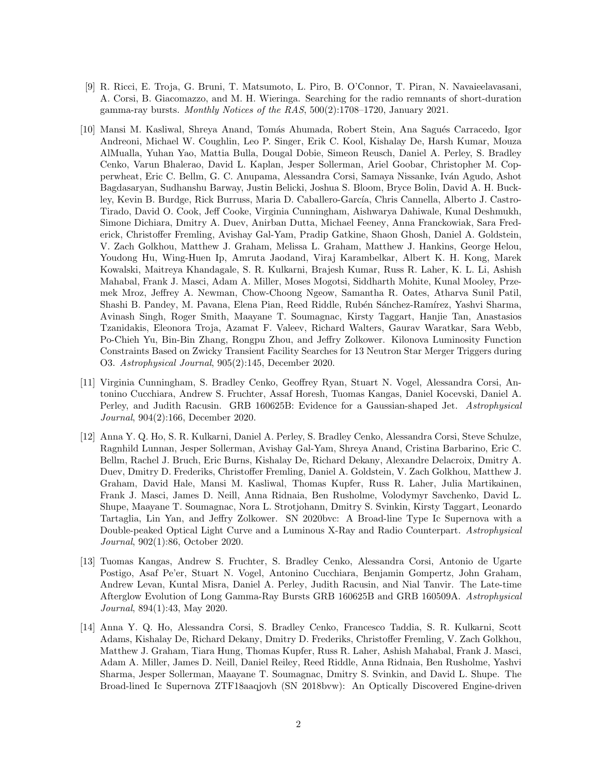- [9] R. Ricci, E. Troja, G. Bruni, T. Matsumoto, L. Piro, B. O'Connor, T. Piran, N. Navaieelavasani, A. Corsi, B. Giacomazzo, and M. H. Wieringa. Searching for the radio remnants of short-duration gamma-ray bursts. *Monthly Notices of the RAS*, 500(2):1708–1720, January 2021.
- [10] Mansi M. Kasliwal, Shreya Anand, Tomás Ahumada, Robert Stein, Ana Sagués Carracedo, Igor Andreoni, Michael W. Coughlin, Leo P. Singer, Erik C. Kool, Kishalay De, Harsh Kumar, Mouza AlMualla, Yuhan Yao, Mattia Bulla, Dougal Dobie, Simeon Reusch, Daniel A. Perley, S. Bradley Cenko, Varun Bhalerao, David L. Kaplan, Jesper Sollerman, Ariel Goobar, Christopher M. Copperwheat, Eric C. Bellm, G. C. Anupama, Alessandra Corsi, Samaya Nissanke, Iv´an Agudo, Ashot Bagdasaryan, Sudhanshu Barway, Justin Belicki, Joshua S. Bloom, Bryce Bolin, David A. H. Buckley, Kevin B. Burdge, Rick Burruss, Maria D. Caballero-García, Chris Cannella, Alberto J. Castro-Tirado, David O. Cook, Jeff Cooke, Virginia Cunningham, Aishwarya Dahiwale, Kunal Deshmukh, Simone Dichiara, Dmitry A. Duev, Anirban Dutta, Michael Feeney, Anna Franckowiak, Sara Frederick, Christoffer Fremling, Avishay Gal-Yam, Pradip Gatkine, Shaon Ghosh, Daniel A. Goldstein, V. Zach Golkhou, Matthew J. Graham, Melissa L. Graham, Matthew J. Hankins, George Helou, Youdong Hu, Wing-Huen Ip, Amruta Jaodand, Viraj Karambelkar, Albert K. H. Kong, Marek Kowalski, Maitreya Khandagale, S. R. Kulkarni, Brajesh Kumar, Russ R. Laher, K. L. Li, Ashish Mahabal, Frank J. Masci, Adam A. Miller, Moses Mogotsi, Siddharth Mohite, Kunal Mooley, Przemek Mroz, Jeffrey A. Newman, Chow-Choong Ngeow, Samantha R. Oates, Atharva Sunil Patil, Shashi B. Pandey, M. Pavana, Elena Pian, Reed Riddle, Rubén Sánchez-Ramírez, Yashvi Sharma, Avinash Singh, Roger Smith, Maayane T. Soumagnac, Kirsty Taggart, Hanjie Tan, Anastasios Tzanidakis, Eleonora Troja, Azamat F. Valeev, Richard Walters, Gaurav Waratkar, Sara Webb, Po-Chieh Yu, Bin-Bin Zhang, Rongpu Zhou, and Jeffry Zolkower. Kilonova Luminosity Function Constraints Based on Zwicky Transient Facility Searches for 13 Neutron Star Merger Triggers during O3. *Astrophysical Journal*, 905(2):145, December 2020.
- [11] Virginia Cunningham, S. Bradley Cenko, Geoffrey Ryan, Stuart N. Vogel, Alessandra Corsi, Antonino Cucchiara, Andrew S. Fruchter, Assaf Horesh, Tuomas Kangas, Daniel Kocevski, Daniel A. Perley, and Judith Racusin. GRB 160625B: Evidence for a Gaussian-shaped Jet. *Astrophysical Journal*, 904(2):166, December 2020.
- [12] Anna Y. Q. Ho, S. R. Kulkarni, Daniel A. Perley, S. Bradley Cenko, Alessandra Corsi, Steve Schulze, Ragnhild Lunnan, Jesper Sollerman, Avishay Gal-Yam, Shreya Anand, Cristina Barbarino, Eric C. Bellm, Rachel J. Bruch, Eric Burns, Kishalay De, Richard Dekany, Alexandre Delacroix, Dmitry A. Duev, Dmitry D. Frederiks, Christoffer Fremling, Daniel A. Goldstein, V. Zach Golkhou, Matthew J. Graham, David Hale, Mansi M. Kasliwal, Thomas Kupfer, Russ R. Laher, Julia Martikainen, Frank J. Masci, James D. Neill, Anna Ridnaia, Ben Rusholme, Volodymyr Savchenko, David L. Shupe, Maayane T. Soumagnac, Nora L. Strotjohann, Dmitry S. Svinkin, Kirsty Taggart, Leonardo Tartaglia, Lin Yan, and Jeffry Zolkower. SN 2020bvc: A Broad-line Type Ic Supernova with a Double-peaked Optical Light Curve and a Luminous X-Ray and Radio Counterpart. *Astrophysical Journal*, 902(1):86, October 2020.
- [13] Tuomas Kangas, Andrew S. Fruchter, S. Bradley Cenko, Alessandra Corsi, Antonio de Ugarte Postigo, Asaf Pe'er, Stuart N. Vogel, Antonino Cucchiara, Benjamin Gompertz, John Graham, Andrew Levan, Kuntal Misra, Daniel A. Perley, Judith Racusin, and Nial Tanvir. The Late-time Afterglow Evolution of Long Gamma-Ray Bursts GRB 160625B and GRB 160509A. *Astrophysical Journal*, 894(1):43, May 2020.
- [14] Anna Y. Q. Ho, Alessandra Corsi, S. Bradley Cenko, Francesco Taddia, S. R. Kulkarni, Scott Adams, Kishalay De, Richard Dekany, Dmitry D. Frederiks, Christoffer Fremling, V. Zach Golkhou, Matthew J. Graham, Tiara Hung, Thomas Kupfer, Russ R. Laher, Ashish Mahabal, Frank J. Masci, Adam A. Miller, James D. Neill, Daniel Reiley, Reed Riddle, Anna Ridnaia, Ben Rusholme, Yashvi Sharma, Jesper Sollerman, Maayane T. Soumagnac, Dmitry S. Svinkin, and David L. Shupe. The Broad-lined Ic Supernova ZTF18aaqjovh (SN 2018bvw): An Optically Discovered Engine-driven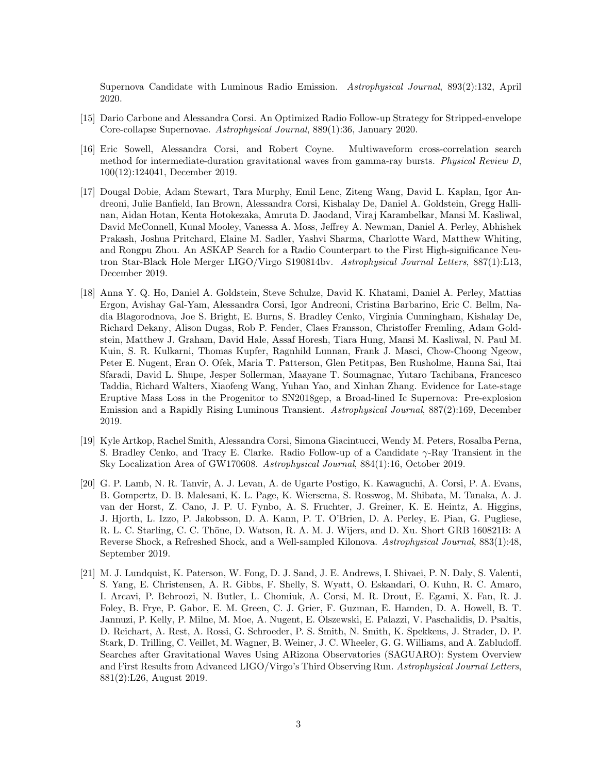Supernova Candidate with Luminous Radio Emission. *Astrophysical Journal*, 893(2):132, April 2020.

- [15] Dario Carbone and Alessandra Corsi. An Optimized Radio Follow-up Strategy for Stripped-envelope Core-collapse Supernovae. *Astrophysical Journal*, 889(1):36, January 2020.
- [16] Eric Sowell, Alessandra Corsi, and Robert Coyne. Multiwaveform cross-correlation search method for intermediate-duration gravitational waves from gamma-ray bursts. *Physical Review D*, 100(12):124041, December 2019.
- [17] Dougal Dobie, Adam Stewart, Tara Murphy, Emil Lenc, Ziteng Wang, David L. Kaplan, Igor Andreoni, Julie Banfield, Ian Brown, Alessandra Corsi, Kishalay De, Daniel A. Goldstein, Gregg Hallinan, Aidan Hotan, Kenta Hotokezaka, Amruta D. Jaodand, Viraj Karambelkar, Mansi M. Kasliwal, David McConnell, Kunal Mooley, Vanessa A. Moss, Jeffrey A. Newman, Daniel A. Perley, Abhishek Prakash, Joshua Pritchard, Elaine M. Sadler, Yashvi Sharma, Charlotte Ward, Matthew Whiting, and Rongpu Zhou. An ASKAP Search for a Radio Counterpart to the First High-significance Neutron Star-Black Hole Merger LIGO/Virgo S190814bv. *Astrophysical Journal Letters*, 887(1):L13, December 2019.
- [18] Anna Y. Q. Ho, Daniel A. Goldstein, Steve Schulze, David K. Khatami, Daniel A. Perley, Mattias Ergon, Avishay Gal-Yam, Alessandra Corsi, Igor Andreoni, Cristina Barbarino, Eric C. Bellm, Nadia Blagorodnova, Joe S. Bright, E. Burns, S. Bradley Cenko, Virginia Cunningham, Kishalay De, Richard Dekany, Alison Dugas, Rob P. Fender, Claes Fransson, Christoffer Fremling, Adam Goldstein, Matthew J. Graham, David Hale, Assaf Horesh, Tiara Hung, Mansi M. Kasliwal, N. Paul M. Kuin, S. R. Kulkarni, Thomas Kupfer, Ragnhild Lunnan, Frank J. Masci, Chow-Choong Ngeow, Peter E. Nugent, Eran O. Ofek, Maria T. Patterson, Glen Petitpas, Ben Rusholme, Hanna Sai, Itai Sfaradi, David L. Shupe, Jesper Sollerman, Maayane T. Soumagnac, Yutaro Tachibana, Francesco Taddia, Richard Walters, Xiaofeng Wang, Yuhan Yao, and Xinhan Zhang. Evidence for Late-stage Eruptive Mass Loss in the Progenitor to SN2018gep, a Broad-lined Ic Supernova: Pre-explosion Emission and a Rapidly Rising Luminous Transient. *Astrophysical Journal*, 887(2):169, December 2019.
- [19] Kyle Artkop, Rachel Smith, Alessandra Corsi, Simona Giacintucci, Wendy M. Peters, Rosalba Perna, S. Bradley Cenko, and Tracy E. Clarke. Radio Follow-up of a Candidate  $\gamma$ -Ray Transient in the Sky Localization Area of GW170608. *Astrophysical Journal*, 884(1):16, October 2019.
- [20] G. P. Lamb, N. R. Tanvir, A. J. Levan, A. de Ugarte Postigo, K. Kawaguchi, A. Corsi, P. A. Evans, B. Gompertz, D. B. Malesani, K. L. Page, K. Wiersema, S. Rosswog, M. Shibata, M. Tanaka, A. J. van der Horst, Z. Cano, J. P. U. Fynbo, A. S. Fruchter, J. Greiner, K. E. Heintz, A. Higgins, J. Hjorth, L. Izzo, P. Jakobsson, D. A. Kann, P. T. O'Brien, D. A. Perley, E. Pian, G. Pugliese, R. L. C. Starling, C. C. Thöne, D. Watson, R. A. M. J. Wijers, and D. Xu. Short GRB 160821B: A Reverse Shock, a Refreshed Shock, and a Well-sampled Kilonova. *Astrophysical Journal*, 883(1):48, September 2019.
- [21] M. J. Lundquist, K. Paterson, W. Fong, D. J. Sand, J. E. Andrews, I. Shivaei, P. N. Daly, S. Valenti, S. Yang, E. Christensen, A. R. Gibbs, F. Shelly, S. Wyatt, O. Eskandari, O. Kuhn, R. C. Amaro, I. Arcavi, P. Behroozi, N. Butler, L. Chomiuk, A. Corsi, M. R. Drout, E. Egami, X. Fan, R. J. Foley, B. Frye, P. Gabor, E. M. Green, C. J. Grier, F. Guzman, E. Hamden, D. A. Howell, B. T. Jannuzi, P. Kelly, P. Milne, M. Moe, A. Nugent, E. Olszewski, E. Palazzi, V. Paschalidis, D. Psaltis, D. Reichart, A. Rest, A. Rossi, G. Schroeder, P. S. Smith, N. Smith, K. Spekkens, J. Strader, D. P. Stark, D. Trilling, C. Veillet, M. Wagner, B. Weiner, J. C. Wheeler, G. G. Williams, and A. Zabludoff. Searches after Gravitational Waves Using ARizona Observatories (SAGUARO): System Overview and First Results from Advanced LIGO/Virgo's Third Observing Run. *Astrophysical Journal Letters*, 881(2):L26, August 2019.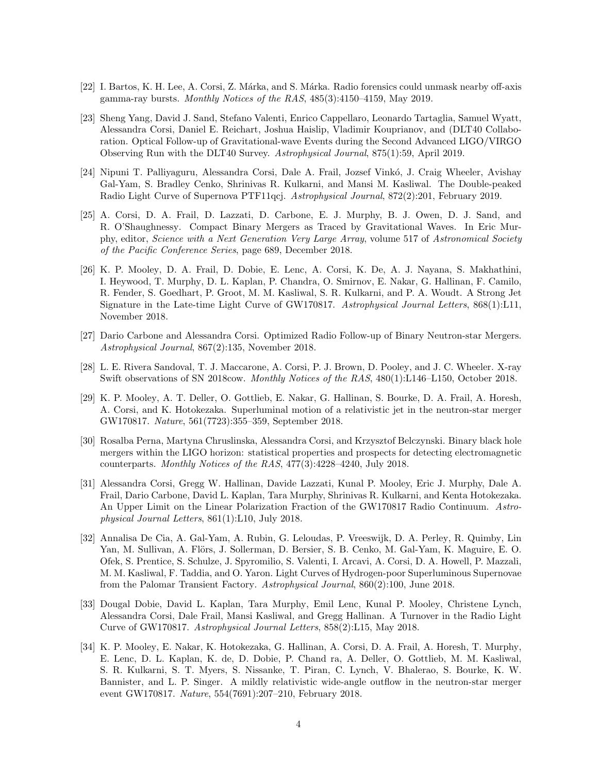- [22] I. Bartos, K. H. Lee, A. Corsi, Z. Márka, and S. Márka. Radio forensics could unmask nearby off-axis gamma-ray bursts. *Monthly Notices of the RAS*, 485(3):4150–4159, May 2019.
- [23] Sheng Yang, David J. Sand, Stefano Valenti, Enrico Cappellaro, Leonardo Tartaglia, Samuel Wyatt, Alessandra Corsi, Daniel E. Reichart, Joshua Haislip, Vladimir Kouprianov, and (DLT40 Collaboration. Optical Follow-up of Gravitational-wave Events during the Second Advanced LIGO/VIRGO Observing Run with the DLT40 Survey. *Astrophysical Journal*, 875(1):59, April 2019.
- [24] Nipuni T. Palliyaguru, Alessandra Corsi, Dale A. Frail, Jozsef Vinkó, J. Craig Wheeler, Avishay Gal-Yam, S. Bradley Cenko, Shrinivas R. Kulkarni, and Mansi M. Kasliwal. The Double-peaked Radio Light Curve of Supernova PTF11qcj. *Astrophysical Journal*, 872(2):201, February 2019.
- [25] A. Corsi, D. A. Frail, D. Lazzati, D. Carbone, E. J. Murphy, B. J. Owen, D. J. Sand, and R. O'Shaughnessy. Compact Binary Mergers as Traced by Gravitational Waves. In Eric Murphy, editor, *Science with a Next Generation Very Large Array*, volume 517 of *Astronomical Society of the Pacific Conference Series*, page 689, December 2018.
- [26] K. P. Mooley, D. A. Frail, D. Dobie, E. Lenc, A. Corsi, K. De, A. J. Nayana, S. Makhathini, I. Heywood, T. Murphy, D. L. Kaplan, P. Chandra, O. Smirnov, E. Nakar, G. Hallinan, F. Camilo, R. Fender, S. Goedhart, P. Groot, M. M. Kasliwal, S. R. Kulkarni, and P. A. Woudt. A Strong Jet Signature in the Late-time Light Curve of GW170817. *Astrophysical Journal Letters*, 868(1):L11, November 2018.
- [27] Dario Carbone and Alessandra Corsi. Optimized Radio Follow-up of Binary Neutron-star Mergers. *Astrophysical Journal*, 867(2):135, November 2018.
- [28] L. E. Rivera Sandoval, T. J. Maccarone, A. Corsi, P. J. Brown, D. Pooley, and J. C. Wheeler. X-ray Swift observations of SN 2018cow. *Monthly Notices of the RAS*, 480(1):L146–L150, October 2018.
- [29] K. P. Mooley, A. T. Deller, O. Gottlieb, E. Nakar, G. Hallinan, S. Bourke, D. A. Frail, A. Horesh, A. Corsi, and K. Hotokezaka. Superluminal motion of a relativistic jet in the neutron-star merger GW170817. *Nature*, 561(7723):355–359, September 2018.
- [30] Rosalba Perna, Martyna Chruslinska, Alessandra Corsi, and Krzysztof Belczynski. Binary black hole mergers within the LIGO horizon: statistical properties and prospects for detecting electromagnetic counterparts. *Monthly Notices of the RAS*, 477(3):4228–4240, July 2018.
- [31] Alessandra Corsi, Gregg W. Hallinan, Davide Lazzati, Kunal P. Mooley, Eric J. Murphy, Dale A. Frail, Dario Carbone, David L. Kaplan, Tara Murphy, Shrinivas R. Kulkarni, and Kenta Hotokezaka. An Upper Limit on the Linear Polarization Fraction of the GW170817 Radio Continuum. *Astrophysical Journal Letters*, 861(1):L10, July 2018.
- [32] Annalisa De Cia, A. Gal-Yam, A. Rubin, G. Leloudas, P. Vreeswijk, D. A. Perley, R. Quimby, Lin Yan, M. Sullivan, A. Flörs, J. Sollerman, D. Bersier, S. B. Cenko, M. Gal-Yam, K. Maguire, E. O. Ofek, S. Prentice, S. Schulze, J. Spyromilio, S. Valenti, I. Arcavi, A. Corsi, D. A. Howell, P. Mazzali, M. M. Kasliwal, F. Taddia, and O. Yaron. Light Curves of Hydrogen-poor Superluminous Supernovae from the Palomar Transient Factory. *Astrophysical Journal*, 860(2):100, June 2018.
- [33] Dougal Dobie, David L. Kaplan, Tara Murphy, Emil Lenc, Kunal P. Mooley, Christene Lynch, Alessandra Corsi, Dale Frail, Mansi Kasliwal, and Gregg Hallinan. A Turnover in the Radio Light Curve of GW170817. *Astrophysical Journal Letters*, 858(2):L15, May 2018.
- [34] K. P. Mooley, E. Nakar, K. Hotokezaka, G. Hallinan, A. Corsi, D. A. Frail, A. Horesh, T. Murphy, E. Lenc, D. L. Kaplan, K. de, D. Dobie, P. Chand ra, A. Deller, O. Gottlieb, M. M. Kasliwal, S. R. Kulkarni, S. T. Myers, S. Nissanke, T. Piran, C. Lynch, V. Bhalerao, S. Bourke, K. W. Bannister, and L. P. Singer. A mildly relativistic wide-angle outflow in the neutron-star merger event GW170817. *Nature*, 554(7691):207–210, February 2018.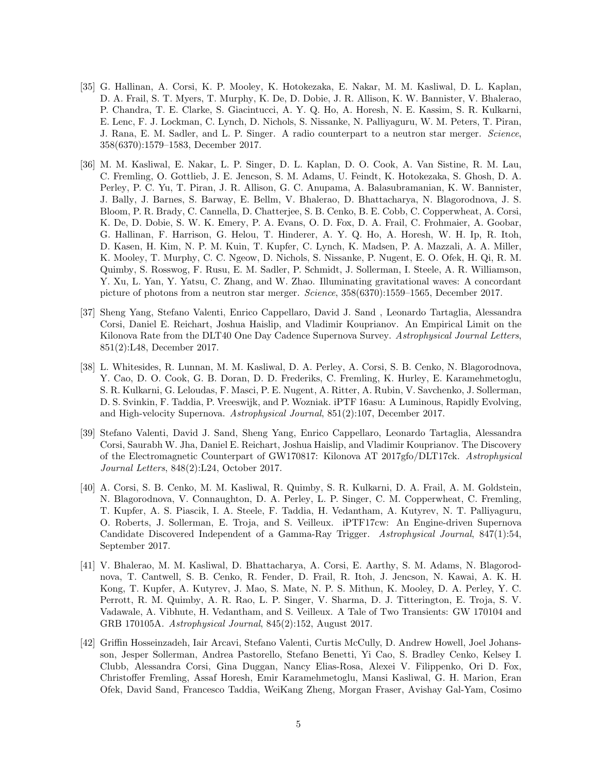- [35] G. Hallinan, A. Corsi, K. P. Mooley, K. Hotokezaka, E. Nakar, M. M. Kasliwal, D. L. Kaplan, D. A. Frail, S. T. Myers, T. Murphy, K. De, D. Dobie, J. R. Allison, K. W. Bannister, V. Bhalerao, P. Chandra, T. E. Clarke, S. Giacintucci, A. Y. Q. Ho, A. Horesh, N. E. Kassim, S. R. Kulkarni, E. Lenc, F. J. Lockman, C. Lynch, D. Nichols, S. Nissanke, N. Palliyaguru, W. M. Peters, T. Piran, J. Rana, E. M. Sadler, and L. P. Singer. A radio counterpart to a neutron star merger. *Science*, 358(6370):1579–1583, December 2017.
- [36] M. M. Kasliwal, E. Nakar, L. P. Singer, D. L. Kaplan, D. O. Cook, A. Van Sistine, R. M. Lau, C. Fremling, O. Gottlieb, J. E. Jencson, S. M. Adams, U. Feindt, K. Hotokezaka, S. Ghosh, D. A. Perley, P. C. Yu, T. Piran, J. R. Allison, G. C. Anupama, A. Balasubramanian, K. W. Bannister, J. Bally, J. Barnes, S. Barway, E. Bellm, V. Bhalerao, D. Bhattacharya, N. Blagorodnova, J. S. Bloom, P. R. Brady, C. Cannella, D. Chatterjee, S. B. Cenko, B. E. Cobb, C. Copperwheat, A. Corsi, K. De, D. Dobie, S. W. K. Emery, P. A. Evans, O. D. Fox, D. A. Frail, C. Frohmaier, A. Goobar, G. Hallinan, F. Harrison, G. Helou, T. Hinderer, A. Y. Q. Ho, A. Horesh, W. H. Ip, R. Itoh, D. Kasen, H. Kim, N. P. M. Kuin, T. Kupfer, C. Lynch, K. Madsen, P. A. Mazzali, A. A. Miller, K. Mooley, T. Murphy, C. C. Ngeow, D. Nichols, S. Nissanke, P. Nugent, E. O. Ofek, H. Qi, R. M. Quimby, S. Rosswog, F. Rusu, E. M. Sadler, P. Schmidt, J. Sollerman, I. Steele, A. R. Williamson, Y. Xu, L. Yan, Y. Yatsu, C. Zhang, and W. Zhao. Illuminating gravitational waves: A concordant picture of photons from a neutron star merger. *Science*, 358(6370):1559–1565, December 2017.
- [37] Sheng Yang, Stefano Valenti, Enrico Cappellaro, David J. Sand , Leonardo Tartaglia, Alessandra Corsi, Daniel E. Reichart, Joshua Haislip, and Vladimir Kouprianov. An Empirical Limit on the Kilonova Rate from the DLT40 One Day Cadence Supernova Survey. *Astrophysical Journal Letters*, 851(2):L48, December 2017.
- [38] L. Whitesides, R. Lunnan, M. M. Kasliwal, D. A. Perley, A. Corsi, S. B. Cenko, N. Blagorodnova, Y. Cao, D. O. Cook, G. B. Doran, D. D. Frederiks, C. Fremling, K. Hurley, E. Karamehmetoglu, S. R. Kulkarni, G. Leloudas, F. Masci, P. E. Nugent, A. Ritter, A. Rubin, V. Savchenko, J. Sollerman, D. S. Svinkin, F. Taddia, P. Vreeswijk, and P. Wozniak. iPTF 16asu: A Luminous, Rapidly Evolving, and High-velocity Supernova. *Astrophysical Journal*, 851(2):107, December 2017.
- [39] Stefano Valenti, David J. Sand, Sheng Yang, Enrico Cappellaro, Leonardo Tartaglia, Alessandra Corsi, Saurabh W. Jha, Daniel E. Reichart, Joshua Haislip, and Vladimir Kouprianov. The Discovery of the Electromagnetic Counterpart of GW170817: Kilonova AT 2017gfo/DLT17ck. *Astrophysical Journal Letters*, 848(2):L24, October 2017.
- [40] A. Corsi, S. B. Cenko, M. M. Kasliwal, R. Quimby, S. R. Kulkarni, D. A. Frail, A. M. Goldstein, N. Blagorodnova, V. Connaughton, D. A. Perley, L. P. Singer, C. M. Copperwheat, C. Fremling, T. Kupfer, A. S. Piascik, I. A. Steele, F. Taddia, H. Vedantham, A. Kutyrev, N. T. Palliyaguru, O. Roberts, J. Sollerman, E. Troja, and S. Veilleux. iPTF17cw: An Engine-driven Supernova Candidate Discovered Independent of a Gamma-Ray Trigger. *Astrophysical Journal*, 847(1):54, September 2017.
- [41] V. Bhalerao, M. M. Kasliwal, D. Bhattacharya, A. Corsi, E. Aarthy, S. M. Adams, N. Blagorodnova, T. Cantwell, S. B. Cenko, R. Fender, D. Frail, R. Itoh, J. Jencson, N. Kawai, A. K. H. Kong, T. Kupfer, A. Kutyrev, J. Mao, S. Mate, N. P. S. Mithun, K. Mooley, D. A. Perley, Y. C. Perrott, R. M. Quimby, A. R. Rao, L. P. Singer, V. Sharma, D. J. Titterington, E. Troja, S. V. Vadawale, A. Vibhute, H. Vedantham, and S. Veilleux. A Tale of Two Transients: GW 170104 and GRB 170105A. *Astrophysical Journal*, 845(2):152, August 2017.
- [42] Griffin Hosseinzadeh, Iair Arcavi, Stefano Valenti, Curtis McCully, D. Andrew Howell, Joel Johansson, Jesper Sollerman, Andrea Pastorello, Stefano Benetti, Yi Cao, S. Bradley Cenko, Kelsey I. Clubb, Alessandra Corsi, Gina Duggan, Nancy Elias-Rosa, Alexei V. Filippenko, Ori D. Fox, Christo↵er Fremling, Assaf Horesh, Emir Karamehmetoglu, Mansi Kasliwal, G. H. Marion, Eran Ofek, David Sand, Francesco Taddia, WeiKang Zheng, Morgan Fraser, Avishay Gal-Yam, Cosimo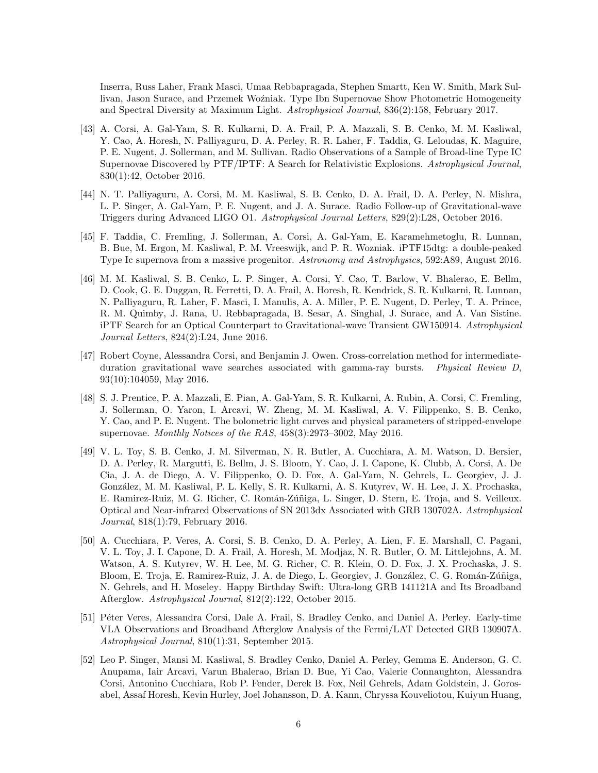Inserra, Russ Laher, Frank Masci, Umaa Rebbapragada, Stephen Smartt, Ken W. Smith, Mark Sullivan, Jason Surace, and Przemek Woźniak. Type Ibn Supernovae Show Photometric Homogeneity and Spectral Diversity at Maximum Light. *Astrophysical Journal*, 836(2):158, February 2017.

- [43] A. Corsi, A. Gal-Yam, S. R. Kulkarni, D. A. Frail, P. A. Mazzali, S. B. Cenko, M. M. Kasliwal, Y. Cao, A. Horesh, N. Palliyaguru, D. A. Perley, R. R. Laher, F. Taddia, G. Leloudas, K. Maguire, P. E. Nugent, J. Sollerman, and M. Sullivan. Radio Observations of a Sample of Broad-line Type IC Supernovae Discovered by PTF/IPTF: A Search for Relativistic Explosions. *Astrophysical Journal*, 830(1):42, October 2016.
- [44] N. T. Palliyaguru, A. Corsi, M. M. Kasliwal, S. B. Cenko, D. A. Frail, D. A. Perley, N. Mishra, L. P. Singer, A. Gal-Yam, P. E. Nugent, and J. A. Surace. Radio Follow-up of Gravitational-wave Triggers during Advanced LIGO O1. *Astrophysical Journal Letters*, 829(2):L28, October 2016.
- [45] F. Taddia, C. Fremling, J. Sollerman, A. Corsi, A. Gal-Yam, E. Karamehmetoglu, R. Lunnan, B. Bue, M. Ergon, M. Kasliwal, P. M. Vreeswijk, and P. R. Wozniak. iPTF15dtg: a double-peaked Type Ic supernova from a massive progenitor. *Astronomy and Astrophysics*, 592:A89, August 2016.
- [46] M. M. Kasliwal, S. B. Cenko, L. P. Singer, A. Corsi, Y. Cao, T. Barlow, V. Bhalerao, E. Bellm, D. Cook, G. E. Duggan, R. Ferretti, D. A. Frail, A. Horesh, R. Kendrick, S. R. Kulkarni, R. Lunnan, N. Palliyaguru, R. Laher, F. Masci, I. Manulis, A. A. Miller, P. E. Nugent, D. Perley, T. A. Prince, R. M. Quimby, J. Rana, U. Rebbapragada, B. Sesar, A. Singhal, J. Surace, and A. Van Sistine. iPTF Search for an Optical Counterpart to Gravitational-wave Transient GW150914. *Astrophysical Journal Letters*, 824(2):L24, June 2016.
- [47] Robert Coyne, Alessandra Corsi, and Benjamin J. Owen. Cross-correlation method for intermediateduration gravitational wave searches associated with gamma-ray bursts. *Physical Review D*, 93(10):104059, May 2016.
- [48] S. J. Prentice, P. A. Mazzali, E. Pian, A. Gal-Yam, S. R. Kulkarni, A. Rubin, A. Corsi, C. Fremling, J. Sollerman, O. Yaron, I. Arcavi, W. Zheng, M. M. Kasliwal, A. V. Filippenko, S. B. Cenko, Y. Cao, and P. E. Nugent. The bolometric light curves and physical parameters of stripped-envelope supernovae. *Monthly Notices of the RAS*, 458(3):2973–3002, May 2016.
- [49] V. L. Toy, S. B. Cenko, J. M. Silverman, N. R. Butler, A. Cucchiara, A. M. Watson, D. Bersier, D. A. Perley, R. Margutti, E. Bellm, J. S. Bloom, Y. Cao, J. I. Capone, K. Clubb, A. Corsi, A. De Cia, J. A. de Diego, A. V. Filippenko, O. D. Fox, A. Gal-Yam, N. Gehrels, L. Georgiev, J. J. Gonz´alez, M. M. Kasliwal, P. L. Kelly, S. R. Kulkarni, A. S. Kutyrev, W. H. Lee, J. X. Prochaska, E. Ramirez-Ruiz, M. G. Richer, C. Román-Zúñiga, L. Singer, D. Stern, E. Troja, and S. Veilleux. Optical and Near-infrared Observations of SN 2013dx Associated with GRB 130702A. *Astrophysical Journal*, 818(1):79, February 2016.
- [50] A. Cucchiara, P. Veres, A. Corsi, S. B. Cenko, D. A. Perley, A. Lien, F. E. Marshall, C. Pagani, V. L. Toy, J. I. Capone, D. A. Frail, A. Horesh, M. Modjaz, N. R. Butler, O. M. Littlejohns, A. M. Watson, A. S. Kutyrev, W. H. Lee, M. G. Richer, C. R. Klein, O. D. Fox, J. X. Prochaska, J. S. Bloom, E. Troja, E. Ramirez-Ruiz, J. A. de Diego, L. Georgiev, J. González, C. G. Román-Zúñiga, N. Gehrels, and H. Moseley. Happy Birthday Swift: Ultra-long GRB 141121A and Its Broadband Afterglow. *Astrophysical Journal*, 812(2):122, October 2015.
- [51] Péter Veres, Alessandra Corsi, Dale A. Frail, S. Bradley Cenko, and Daniel A. Perley. Early-time VLA Observations and Broadband Afterglow Analysis of the Fermi/LAT Detected GRB 130907A. *Astrophysical Journal*, 810(1):31, September 2015.
- [52] Leo P. Singer, Mansi M. Kasliwal, S. Bradley Cenko, Daniel A. Perley, Gemma E. Anderson, G. C. Anupama, Iair Arcavi, Varun Bhalerao, Brian D. Bue, Yi Cao, Valerie Connaughton, Alessandra Corsi, Antonino Cucchiara, Rob P. Fender, Derek B. Fox, Neil Gehrels, Adam Goldstein, J. Gorosabel, Assaf Horesh, Kevin Hurley, Joel Johansson, D. A. Kann, Chryssa Kouveliotou, Kuiyun Huang,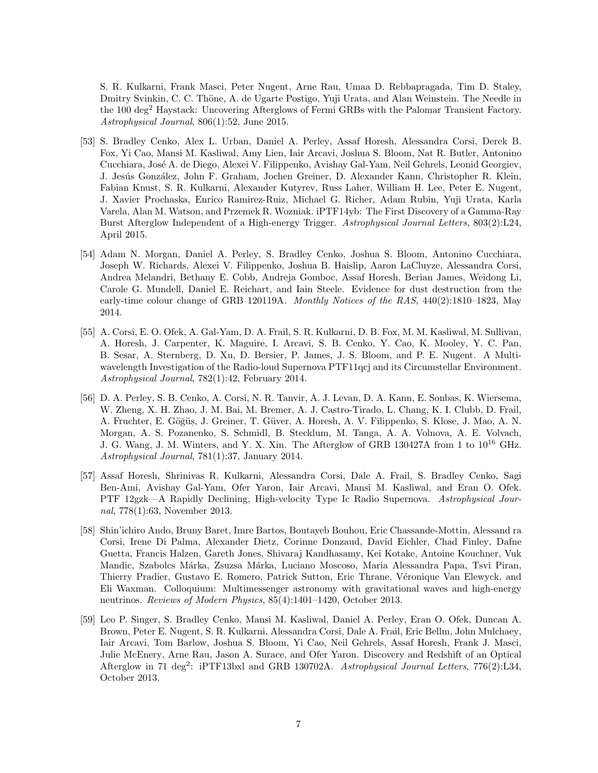S. R. Kulkarni, Frank Masci, Peter Nugent, Arne Rau, Umaa D. Rebbapragada, Tim D. Staley, Dmitry Svinkin, C. C. Thöne, A. de Ugarte Postigo, Yuji Urata, and Alan Weinstein. The Needle in the 100 deg<sup>2</sup> Haystack: Uncovering Afterglows of Fermi GRBs with the Palomar Transient Factory. *Astrophysical Journal*, 806(1):52, June 2015.

- [53] S. Bradley Cenko, Alex L. Urban, Daniel A. Perley, Assaf Horesh, Alessandra Corsi, Derek B. Fox, Yi Cao, Mansi M. Kasliwal, Amy Lien, Iair Arcavi, Joshua S. Bloom, Nat R. Butler, Antonino Cucchiara, Jos´e A. de Diego, Alexei V. Filippenko, Avishay Gal-Yam, Neil Gehrels, Leonid Georgiev, J. Jesús González, John F. Graham, Jochen Greiner, D. Alexander Kann, Christopher R. Klein, Fabian Knust, S. R. Kulkarni, Alexander Kutyrev, Russ Laher, William H. Lee, Peter E. Nugent, J. Xavier Prochaska, Enrico Ramirez-Ruiz, Michael G. Richer, Adam Rubin, Yuji Urata, Karla Varela, Alan M. Watson, and Przemek R. Wozniak. iPTF14yb: The First Discovery of a Gamma-Ray Burst Afterglow Independent of a High-energy Trigger. *Astrophysical Journal Letters*, 803(2):L24, April 2015.
- [54] Adam N. Morgan, Daniel A. Perley, S. Bradley Cenko, Joshua S. Bloom, Antonino Cucchiara, Joseph W. Richards, Alexei V. Filippenko, Joshua B. Haislip, Aaron LaCluyze, Alessandra Corsi, Andrea Melandri, Bethany E. Cobb, Andreja Gomboc, Assaf Horesh, Berian James, Weidong Li, Carole G. Mundell, Daniel E. Reichart, and Iain Steele. Evidence for dust destruction from the early-time colour change of GRB 120119A. *Monthly Notices of the RAS*, 440(2):1810–1823, May 2014.
- [55] A. Corsi, E. O. Ofek, A. Gal-Yam, D. A. Frail, S. R. Kulkarni, D. B. Fox, M. M. Kasliwal, M. Sullivan, A. Horesh, J. Carpenter, K. Maguire, I. Arcavi, S. B. Cenko, Y. Cao, K. Mooley, Y. C. Pan, B. Sesar, A. Sternberg, D. Xu, D. Bersier, P. James, J. S. Bloom, and P. E. Nugent. A Multiwavelength Investigation of the Radio-loud Supernova PTF11qcj and its Circumstellar Environment. *Astrophysical Journal*, 782(1):42, February 2014.
- [56] D. A. Perley, S. B. Cenko, A. Corsi, N. R. Tanvir, A. J. Levan, D. A. Kann, E. Sonbas, K. Wiersema, W. Zheng, X. H. Zhao, J. M. Bai, M. Bremer, A. J. Castro-Tirado, L. Chang, K. I. Clubb, D. Frail, A. Fruchter, E. Göğüş, J. Greiner, T. Güver, A. Horesh, A. V. Filippenko, S. Klose, J. Mao, A. N. Morgan, A. S. Pozanenko, S. Schmidl, B. Stecklum, M. Tanga, A. A. Volnova, A. E. Volvach, J. G. Wang, J. M. Winters, and Y. X. Xin. The Afterglow of GRB 130427A from 1 to  $10^{16}$  GHz. *Astrophysical Journal*, 781(1):37, January 2014.
- [57] Assaf Horesh, Shrinivas R. Kulkarni, Alessandra Corsi, Dale A. Frail, S. Bradley Cenko, Sagi Ben-Ami, Avishay Gal-Yam, Ofer Yaron, Iair Arcavi, Mansi M. Kasliwal, and Eran O. Ofek. PTF 12gzk—A Rapidly Declining, High-velocity Type Ic Radio Supernova. *Astrophysical Journal*, 778(1):63, November 2013.
- [58] Shin'ichiro Ando, Bruny Baret, Imre Bartos, Boutayeb Bouhou, Eric Chassande-Mottin, Alessand ra Corsi, Irene Di Palma, Alexander Dietz, Corinne Donzaud, David Eichler, Chad Finley, Dafne Guetta, Francis Halzen, Gareth Jones, Shivaraj Kandhasamy, Kei Kotake, Antoine Kouchner, Vuk Mandic, Szabolcs Márka, Zsuzsa Márka, Luciano Moscoso, Maria Alessandra Papa, Tsvi Piran, Thierry Pradier, Gustavo E. Romero, Patrick Sutton, Eric Thrane, Véronique Van Elewyck, and Eli Waxman. Colloquium: Multimessenger astronomy with gravitational waves and high-energy neutrinos. *Reviews of Modern Physics*, 85(4):1401–1420, October 2013.
- [59] Leo P. Singer, S. Bradley Cenko, Mansi M. Kasliwal, Daniel A. Perley, Eran O. Ofek, Duncan A. Brown, Peter E. Nugent, S. R. Kulkarni, Alessandra Corsi, Dale A. Frail, Eric Bellm, John Mulchaey, Iair Arcavi, Tom Barlow, Joshua S. Bloom, Yi Cao, Neil Gehrels, Assaf Horesh, Frank J. Masci, Julie McEnery, Arne Rau, Jason A. Surace, and Ofer Yaron. Discovery and Redshift of an Optical Afterglow in 71 deg<sup>2</sup>: iPTF13bxl and GRB 130702A. *Astrophysical Journal Letters*, 776(2):L34, October 2013.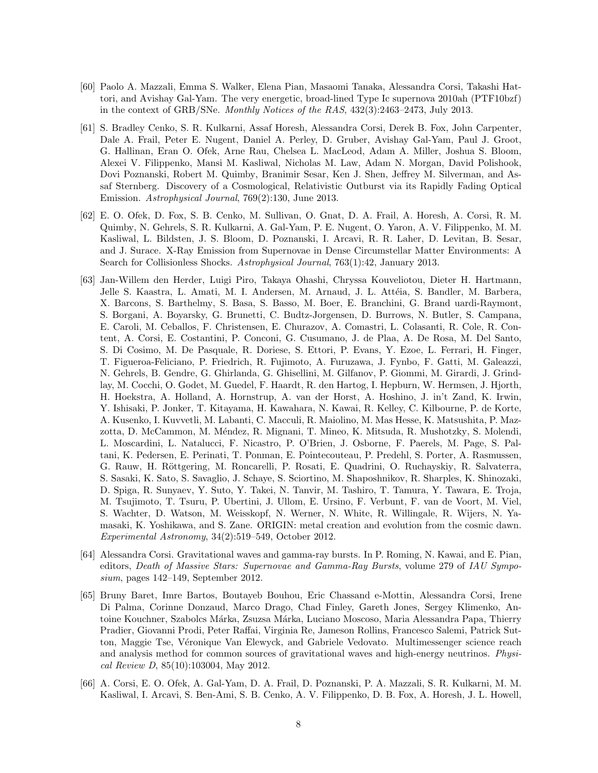- [60] Paolo A. Mazzali, Emma S. Walker, Elena Pian, Masaomi Tanaka, Alessandra Corsi, Takashi Hattori, and Avishay Gal-Yam. The very energetic, broad-lined Type Ic supernova 2010ah (PTF10bzf) in the context of GRB/SNe. *Monthly Notices of the RAS*, 432(3):2463–2473, July 2013.
- [61] S. Bradley Cenko, S. R. Kulkarni, Assaf Horesh, Alessandra Corsi, Derek B. Fox, John Carpenter, Dale A. Frail, Peter E. Nugent, Daniel A. Perley, D. Gruber, Avishay Gal-Yam, Paul J. Groot, G. Hallinan, Eran O. Ofek, Arne Rau, Chelsea L. MacLeod, Adam A. Miller, Joshua S. Bloom, Alexei V. Filippenko, Mansi M. Kasliwal, Nicholas M. Law, Adam N. Morgan, David Polishook, Dovi Poznanski, Robert M. Quimby, Branimir Sesar, Ken J. Shen, Jeffrey M. Silverman, and Assaf Sternberg. Discovery of a Cosmological, Relativistic Outburst via its Rapidly Fading Optical Emission. *Astrophysical Journal*, 769(2):130, June 2013.
- [62] E. O. Ofek, D. Fox, S. B. Cenko, M. Sullivan, O. Gnat, D. A. Frail, A. Horesh, A. Corsi, R. M. Quimby, N. Gehrels, S. R. Kulkarni, A. Gal-Yam, P. E. Nugent, O. Yaron, A. V. Filippenko, M. M. Kasliwal, L. Bildsten, J. S. Bloom, D. Poznanski, I. Arcavi, R. R. Laher, D. Levitan, B. Sesar, and J. Surace. X-Ray Emission from Supernovae in Dense Circumstellar Matter Environments: A Search for Collisionless Shocks. *Astrophysical Journal*, 763(1):42, January 2013.
- [63] Jan-Willem den Herder, Luigi Piro, Takaya Ohashi, Chryssa Kouveliotou, Dieter H. Hartmann, Jelle S. Kaastra, L. Amati, M. I. Andersen, M. Arnaud, J. L. Attéia, S. Bandler, M. Barbera, X. Barcons, S. Barthelmy, S. Basa, S. Basso, M. Boer, E. Branchini, G. Brand uardi-Raymont, S. Borgani, A. Boyarsky, G. Brunetti, C. Budtz-Jorgensen, D. Burrows, N. Butler, S. Campana, E. Caroli, M. Ceballos, F. Christensen, E. Churazov, A. Comastri, L. Colasanti, R. Cole, R. Content, A. Corsi, E. Costantini, P. Conconi, G. Cusumano, J. de Plaa, A. De Rosa, M. Del Santo, S. Di Cosimo, M. De Pasquale, R. Doriese, S. Ettori, P. Evans, Y. Ezoe, L. Ferrari, H. Finger, T. Figueroa-Feliciano, P. Friedrich, R. Fujimoto, A. Furuzawa, J. Fynbo, F. Gatti, M. Galeazzi, N. Gehrels, B. Gendre, G. Ghirlanda, G. Ghisellini, M. Gilfanov, P. Giommi, M. Girardi, J. Grindlay, M. Cocchi, O. Godet, M. Guedel, F. Haardt, R. den Hartog, I. Hepburn, W. Hermsen, J. Hjorth, H. Hoekstra, A. Holland, A. Hornstrup, A. van der Horst, A. Hoshino, J. in't Zand, K. Irwin, Y. Ishisaki, P. Jonker, T. Kitayama, H. Kawahara, N. Kawai, R. Kelley, C. Kilbourne, P. de Korte, A. Kusenko, I. Kuvvetli, M. Labanti, C. Macculi, R. Maiolino, M. Mas Hesse, K. Matsushita, P. Mazzotta, D. McCammon, M. Méndez, R. Mignani, T. Mineo, K. Mitsuda, R. Mushotzky, S. Molendi, L. Moscardini, L. Natalucci, F. Nicastro, P. O'Brien, J. Osborne, F. Paerels, M. Page, S. Paltani, K. Pedersen, E. Perinati, T. Ponman, E. Pointecouteau, P. Predehl, S. Porter, A. Rasmussen, G. Rauw, H. Röttgering, M. Roncarelli, P. Rosati, E. Quadrini, O. Ruchayskiy, R. Salvaterra, S. Sasaki, K. Sato, S. Savaglio, J. Schaye, S. Sciortino, M. Shaposhnikov, R. Sharples, K. Shinozaki, D. Spiga, R. Sunyaev, Y. Suto, Y. Takei, N. Tanvir, M. Tashiro, T. Tamura, Y. Tawara, E. Troja, M. Tsujimoto, T. Tsuru, P. Ubertini, J. Ullom, E. Ursino, F. Verbunt, F. van de Voort, M. Viel, S. Wachter, D. Watson, M. Weisskopf, N. Werner, N. White, R. Willingale, R. Wijers, N. Yamasaki, K. Yoshikawa, and S. Zane. ORIGIN: metal creation and evolution from the cosmic dawn. *Experimental Astronomy*, 34(2):519–549, October 2012.
- [64] Alessandra Corsi. Gravitational waves and gamma-ray bursts. In P. Roming, N. Kawai, and E. Pian, editors, *Death of Massive Stars: Supernovae and Gamma-Ray Bursts*, volume 279 of *IAU Symposium*, pages 142–149, September 2012.
- [65] Bruny Baret, Imre Bartos, Boutayeb Bouhou, Eric Chassand e-Mottin, Alessandra Corsi, Irene Di Palma, Corinne Donzaud, Marco Drago, Chad Finley, Gareth Jones, Sergey Klimenko, Antoine Kouchner, Szabolcs Márka, Zsuzsa Márka, Luciano Moscoso, Maria Alessandra Papa, Thierry Pradier, Giovanni Prodi, Peter Raffai, Virginia Re, Jameson Rollins, Francesco Salemi, Patrick Sutton, Maggie Tse, Véronique Van Elewyck, and Gabriele Vedovato. Multimessenger science reach and analysis method for common sources of gravitational waves and high-energy neutrinos. *Physical Review D*, 85(10):103004, May 2012.
- [66] A. Corsi, E. O. Ofek, A. Gal-Yam, D. A. Frail, D. Poznanski, P. A. Mazzali, S. R. Kulkarni, M. M. Kasliwal, I. Arcavi, S. Ben-Ami, S. B. Cenko, A. V. Filippenko, D. B. Fox, A. Horesh, J. L. Howell,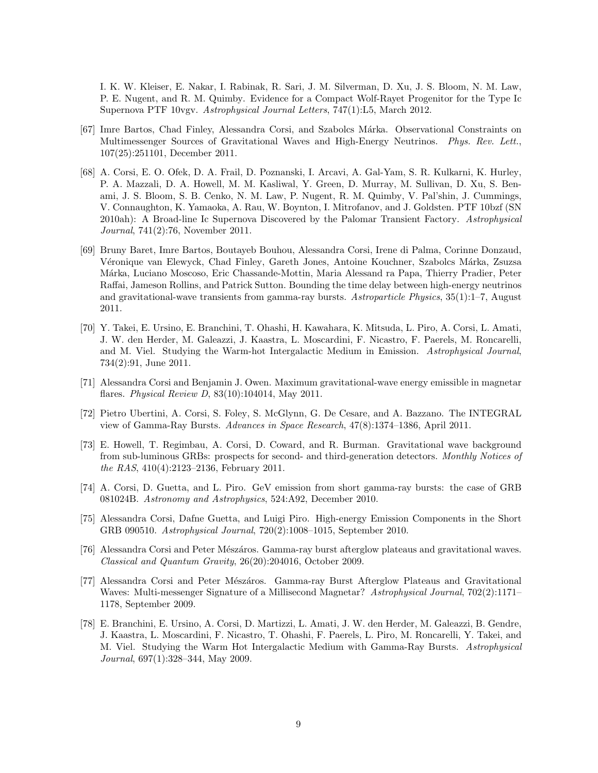I. K. W. Kleiser, E. Nakar, I. Rabinak, R. Sari, J. M. Silverman, D. Xu, J. S. Bloom, N. M. Law, P. E. Nugent, and R. M. Quimby. Evidence for a Compact Wolf-Rayet Progenitor for the Type Ic Supernova PTF 10vgv. *Astrophysical Journal Letters*, 747(1):L5, March 2012.

- [67] Imre Bartos, Chad Finley, Alessandra Corsi, and Szabolcs M´arka. Observational Constraints on Multimessenger Sources of Gravitational Waves and High-Energy Neutrinos. *Phys. Rev. Lett.*, 107(25):251101, December 2011.
- [68] A. Corsi, E. O. Ofek, D. A. Frail, D. Poznanski, I. Arcavi, A. Gal-Yam, S. R. Kulkarni, K. Hurley, P. A. Mazzali, D. A. Howell, M. M. Kasliwal, Y. Green, D. Murray, M. Sullivan, D. Xu, S. Benami, J. S. Bloom, S. B. Cenko, N. M. Law, P. Nugent, R. M. Quimby, V. Pal'shin, J. Cummings, V. Connaughton, K. Yamaoka, A. Rau, W. Boynton, I. Mitrofanov, and J. Goldsten. PTF 10bzf (SN 2010ah): A Broad-line Ic Supernova Discovered by the Palomar Transient Factory. *Astrophysical Journal*, 741(2):76, November 2011.
- [69] Bruny Baret, Imre Bartos, Boutayeb Bouhou, Alessandra Corsi, Irene di Palma, Corinne Donzaud, Véronique van Elewyck, Chad Finley, Gareth Jones, Antoine Kouchner, Szabolcs Márka, Zsuzsa M´arka, Luciano Moscoso, Eric Chassande-Mottin, Maria Alessand ra Papa, Thierry Pradier, Peter Raffai, Jameson Rollins, and Patrick Sutton. Bounding the time delay between high-energy neutrinos and gravitational-wave transients from gamma-ray bursts. *Astroparticle Physics*, 35(1):1–7, August 2011.
- [70] Y. Takei, E. Ursino, E. Branchini, T. Ohashi, H. Kawahara, K. Mitsuda, L. Piro, A. Corsi, L. Amati, J. W. den Herder, M. Galeazzi, J. Kaastra, L. Moscardini, F. Nicastro, F. Paerels, M. Roncarelli, and M. Viel. Studying the Warm-hot Intergalactic Medium in Emission. *Astrophysical Journal*, 734(2):91, June 2011.
- [71] Alessandra Corsi and Benjamin J. Owen. Maximum gravitational-wave energy emissible in magnetar flares. *Physical Review D*, 83(10):104014, May 2011.
- [72] Pietro Ubertini, A. Corsi, S. Foley, S. McGlynn, G. De Cesare, and A. Bazzano. The INTEGRAL view of Gamma-Ray Bursts. *Advances in Space Research*, 47(8):1374–1386, April 2011.
- [73] E. Howell, T. Regimbau, A. Corsi, D. Coward, and R. Burman. Gravitational wave background from sub-luminous GRBs: prospects for second- and third-generation detectors. *Monthly Notices of the RAS*, 410(4):2123–2136, February 2011.
- [74] A. Corsi, D. Guetta, and L. Piro. GeV emission from short gamma-ray bursts: the case of GRB 081024B. *Astronomy and Astrophysics*, 524:A92, December 2010.
- [75] Alessandra Corsi, Dafne Guetta, and Luigi Piro. High-energy Emission Components in the Short GRB 090510. *Astrophysical Journal*, 720(2):1008–1015, September 2010.
- [76] Alessandra Corsi and Peter Mészáros. Gamma-ray burst afterglow plateaus and gravitational waves. *Classical and Quantum Gravity*, 26(20):204016, October 2009.
- [77] Alessandra Corsi and Peter Mészáros. Gamma-ray Burst Afterglow Plateaus and Gravitational Waves: Multi-messenger Signature of a Millisecond Magnetar? *Astrophysical Journal*, 702(2):1171– 1178, September 2009.
- [78] E. Branchini, E. Ursino, A. Corsi, D. Martizzi, L. Amati, J. W. den Herder, M. Galeazzi, B. Gendre, J. Kaastra, L. Moscardini, F. Nicastro, T. Ohashi, F. Paerels, L. Piro, M. Roncarelli, Y. Takei, and M. Viel. Studying the Warm Hot Intergalactic Medium with Gamma-Ray Bursts. *Astrophysical Journal*, 697(1):328–344, May 2009.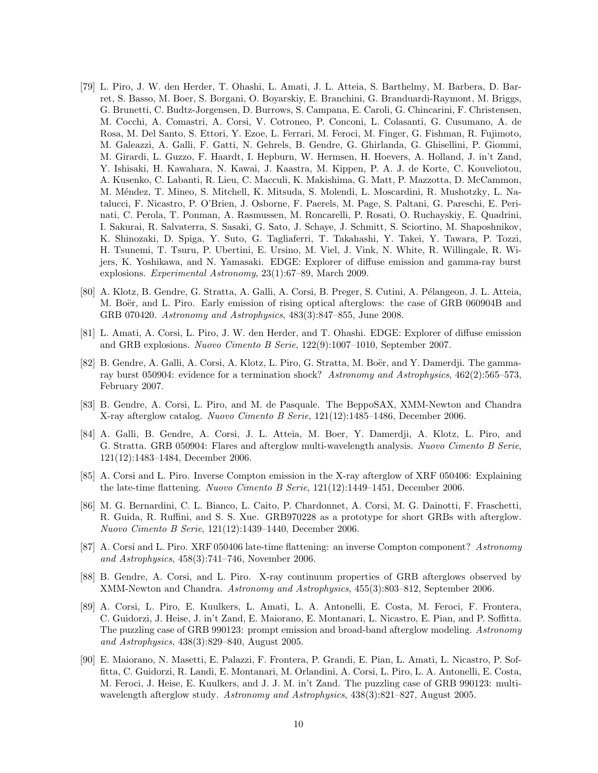- [79] L. Piro, J. W. den Herder, T. Ohashi, L. Amati, J. L. Atteia, S. Barthelmy, M. Barbera, D. Barret, S. Basso, M. Boer, S. Borgani, O. Boyarskiy, E. Branchini, G. Branduardi-Raymont, M. Briggs, G. Brunetti, C. Budtz-Jorgensen, D. Burrows, S. Campana, E. Caroli, G. Chincarini, F. Christensen, M. Cocchi, A. Comastri, A. Corsi, V. Cotroneo, P. Conconi, L. Colasanti, G. Cusumano, A. de Rosa, M. Del Santo, S. Ettori, Y. Ezoe, L. Ferrari, M. Feroci, M. Finger, G. Fishman, R. Fujimoto, M. Galeazzi, A. Galli, F. Gatti, N. Gehrels, B. Gendre, G. Ghirlanda, G. Ghisellini, P. Giommi, M. Girardi, L. Guzzo, F. Haardt, I. Hepburn, W. Hermsen, H. Hoevers, A. Holland, J. in't Zand, Y. Ishisaki, H. Kawahara, N. Kawai, J. Kaastra, M. Kippen, P. A. J. de Korte, C. Kouveliotou, A. Kusenko, C. Labanti, R. Lieu, C. Macculi, K. Makishima, G. Matt, P. Mazzotta, D. McCammon, M. M´endez, T. Mineo, S. Mitchell, K. Mitsuda, S. Molendi, L. Moscardini, R. Mushotzky, L. Natalucci, F. Nicastro, P. O'Brien, J. Osborne, F. Paerels, M. Page, S. Paltani, G. Pareschi, E. Perinati, C. Perola, T. Ponman, A. Rasmussen, M. Roncarelli, P. Rosati, O. Ruchayskiy, E. Quadrini, I. Sakurai, R. Salvaterra, S. Sasaki, G. Sato, J. Schaye, J. Schmitt, S. Sciortino, M. Shaposhnikov, K. Shinozaki, D. Spiga, Y. Suto, G. Tagliaferri, T. Takahashi, Y. Takei, Y. Tawara, P. Tozzi, H. Tsunemi, T. Tsuru, P. Ubertini, E. Ursino, M. Viel, J. Vink, N. White, R. Willingale, R. Wijers, K. Yoshikawa, and N. Yamasaki. EDGE: Explorer of diffuse emission and gamma-ray burst explosions. *Experimental Astronomy*, 23(1):67–89, March 2009.
- [80] A. Klotz, B. Gendre, G. Stratta, A. Galli, A. Corsi, B. Preger, S. Cutini, A. Pélangeon, J. L. Atteia, M. Boër, and L. Piro. Early emission of rising optical afterglows: the case of GRB 060904B and GRB 070420. *Astronomy and Astrophysics*, 483(3):847–855, June 2008.
- [81] L. Amati, A. Corsi, L. Piro, J. W. den Herder, and T. Ohashi. EDGE: Explorer of diffuse emission and GRB explosions. *Nuovo Cimento B Serie*, 122(9):1007–1010, September 2007.
- [82] B. Gendre, A. Galli, A. Corsi, A. Klotz, L. Piro, G. Stratta, M. Boër, and Y. Damerdji. The gammaray burst 050904: evidence for a termination shock? *Astronomy and Astrophysics*, 462(2):565–573, February 2007.
- [83] B. Gendre, A. Corsi, L. Piro, and M. de Pasquale. The BeppoSAX, XMM-Newton and Chandra X-ray afterglow catalog. *Nuovo Cimento B Serie*, 121(12):1485–1486, December 2006.
- [84] A. Galli, B. Gendre, A. Corsi, J. L. Atteia, M. Boer, Y. Damerdji, A. Klotz, L. Piro, and G. Stratta. GRB 050904: Flares and afterglow multi-wavelength analysis. *Nuovo Cimento B Serie*, 121(12):1483–1484, December 2006.
- [85] A. Corsi and L. Piro. Inverse Compton emission in the X-ray afterglow of XRF 050406: Explaining the late-time flattening. *Nuovo Cimento B Serie*, 121(12):1449–1451, December 2006.
- [86] M. G. Bernardini, C. L. Bianco, L. Caito, P. Chardonnet, A. Corsi, M. G. Dainotti, F. Fraschetti, R. Guida, R. Ruffini, and S. S. Xue. GRB970228 as a prototype for short GRBs with afterglow. *Nuovo Cimento B Serie*, 121(12):1439–1440, December 2006.
- [87] A. Corsi and L. Piro. XRF 050406 late-time flattening: an inverse Compton component? *Astronomy and Astrophysics*, 458(3):741–746, November 2006.
- [88] B. Gendre, A. Corsi, and L. Piro. X-ray continuum properties of GRB afterglows observed by XMM-Newton and Chandra. *Astronomy and Astrophysics*, 455(3):803–812, September 2006.
- [89] A. Corsi, L. Piro, E. Kuulkers, L. Amati, L. A. Antonelli, E. Costa, M. Feroci, F. Frontera, C. Guidorzi, J. Heise, J. in't Zand, E. Maiorano, E. Montanari, L. Nicastro, E. Pian, and P. Soffitta. The puzzling case of GRB 990123: prompt emission and broad-band afterglow modeling. *Astronomy and Astrophysics*, 438(3):829–840, August 2005.
- [90] E. Maiorano, N. Masetti, E. Palazzi, F. Frontera, P. Grandi, E. Pian, L. Amati, L. Nicastro, P. Soffitta, C. Guidorzi, R. Landi, E. Montanari, M. Orlandini, A. Corsi, L. Piro, L. A. Antonelli, E. Costa, M. Feroci, J. Heise, E. Kuulkers, and J. J. M. in't Zand. The puzzling case of GRB 990123: multiwavelength afterglow study. *Astronomy and Astrophysics*, 438(3):821–827, August 2005.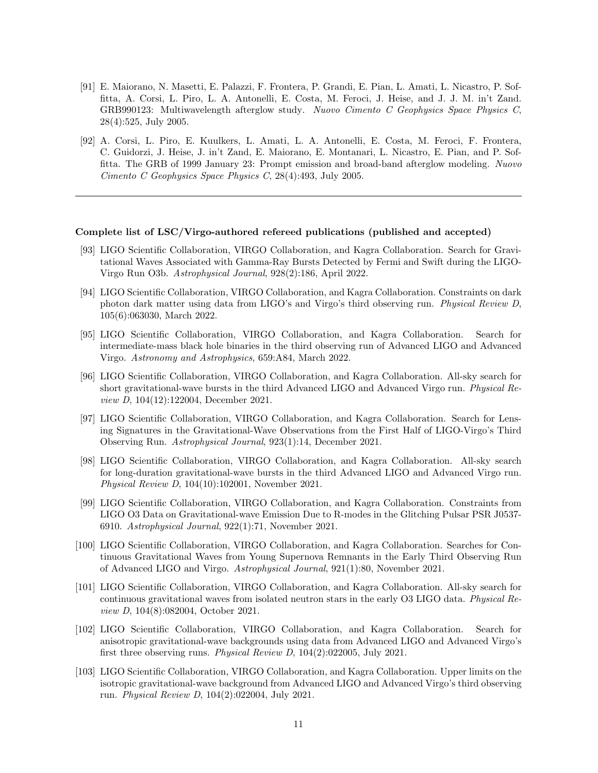- [91] E. Maiorano, N. Masetti, E. Palazzi, F. Frontera, P. Grandi, E. Pian, L. Amati, L. Nicastro, P. Soffitta, A. Corsi, L. Piro, L. A. Antonelli, E. Costa, M. Feroci, J. Heise, and J. J. M. in't Zand. GRB990123: Multiwavelength afterglow study. *Nuovo Cimento C Geophysics Space Physics C*, 28(4):525, July 2005.
- [92] A. Corsi, L. Piro, E. Kuulkers, L. Amati, L. A. Antonelli, E. Costa, M. Feroci, F. Frontera, C. Guidorzi, J. Heise, J. in't Zand, E. Maiorano, E. Montanari, L. Nicastro, E. Pian, and P. Soffitta. The GRB of 1999 January 23: Prompt emission and broad-band afterglow modeling. *Nuovo Cimento C Geophysics Space Physics C*, 28(4):493, July 2005.

#### Complete list of LSC/Virgo-authored refereed publications (published and accepted)

- [93] LIGO Scientific Collaboration, VIRGO Collaboration, and Kagra Collaboration. Search for Gravitational Waves Associated with Gamma-Ray Bursts Detected by Fermi and Swift during the LIGO-Virgo Run O3b. *Astrophysical Journal*, 928(2):186, April 2022.
- [94] LIGO Scientific Collaboration, VIRGO Collaboration, and Kagra Collaboration. Constraints on dark photon dark matter using data from LIGO's and Virgo's third observing run. *Physical Review D*, 105(6):063030, March 2022.
- [95] LIGO Scientific Collaboration, VIRGO Collaboration, and Kagra Collaboration. Search for intermediate-mass black hole binaries in the third observing run of Advanced LIGO and Advanced Virgo. *Astronomy and Astrophysics*, 659:A84, March 2022.
- [96] LIGO Scientific Collaboration, VIRGO Collaboration, and Kagra Collaboration. All-sky search for short gravitational-wave bursts in the third Advanced LIGO and Advanced Virgo run. *Physical Review D*, 104(12):122004, December 2021.
- [97] LIGO Scientific Collaboration, VIRGO Collaboration, and Kagra Collaboration. Search for Lensing Signatures in the Gravitational-Wave Observations from the First Half of LIGO-Virgo's Third Observing Run. *Astrophysical Journal*, 923(1):14, December 2021.
- [98] LIGO Scientific Collaboration, VIRGO Collaboration, and Kagra Collaboration. All-sky search for long-duration gravitational-wave bursts in the third Advanced LIGO and Advanced Virgo run. *Physical Review D*, 104(10):102001, November 2021.
- [99] LIGO Scientific Collaboration, VIRGO Collaboration, and Kagra Collaboration. Constraints from LIGO O3 Data on Gravitational-wave Emission Due to R-modes in the Glitching Pulsar PSR J0537- 6910. *Astrophysical Journal*, 922(1):71, November 2021.
- [100] LIGO Scientific Collaboration, VIRGO Collaboration, and Kagra Collaboration. Searches for Continuous Gravitational Waves from Young Supernova Remnants in the Early Third Observing Run of Advanced LIGO and Virgo. *Astrophysical Journal*, 921(1):80, November 2021.
- [101] LIGO Scientific Collaboration, VIRGO Collaboration, and Kagra Collaboration. All-sky search for continuous gravitational waves from isolated neutron stars in the early O3 LIGO data. *Physical Review D*, 104(8):082004, October 2021.
- [102] LIGO Scientific Collaboration, VIRGO Collaboration, and Kagra Collaboration. Search for anisotropic gravitational-wave backgrounds using data from Advanced LIGO and Advanced Virgo's first three observing runs. *Physical Review D*, 104(2):022005, July 2021.
- [103] LIGO Scientific Collaboration, VIRGO Collaboration, and Kagra Collaboration. Upper limits on the isotropic gravitational-wave background from Advanced LIGO and Advanced Virgo's third observing run. *Physical Review D*, 104(2):022004, July 2021.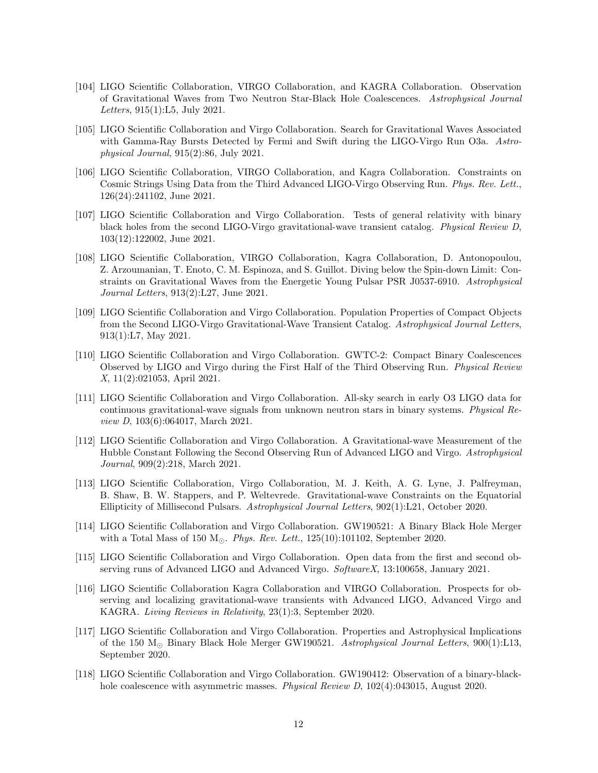- [104] LIGO Scientific Collaboration, VIRGO Collaboration, and KAGRA Collaboration. Observation of Gravitational Waves from Two Neutron Star-Black Hole Coalescences. *Astrophysical Journal Letters*, 915(1):L5, July 2021.
- [105] LIGO Scientific Collaboration and Virgo Collaboration. Search for Gravitational Waves Associated with Gamma-Ray Bursts Detected by Fermi and Swift during the LIGO-Virgo Run O3a. *Astrophysical Journal*, 915(2):86, July 2021.
- [106] LIGO Scientific Collaboration, VIRGO Collaboration, and Kagra Collaboration. Constraints on Cosmic Strings Using Data from the Third Advanced LIGO-Virgo Observing Run. *Phys. Rev. Lett.*, 126(24):241102, June 2021.
- [107] LIGO Scientific Collaboration and Virgo Collaboration. Tests of general relativity with binary black holes from the second LIGO-Virgo gravitational-wave transient catalog. *Physical Review D*, 103(12):122002, June 2021.
- [108] LIGO Scientific Collaboration, VIRGO Collaboration, Kagra Collaboration, D. Antonopoulou, Z. Arzoumanian, T. Enoto, C. M. Espinoza, and S. Guillot. Diving below the Spin-down Limit: Constraints on Gravitational Waves from the Energetic Young Pulsar PSR J0537-6910. *Astrophysical Journal Letters*, 913(2):L27, June 2021.
- [109] LIGO Scientific Collaboration and Virgo Collaboration. Population Properties of Compact Objects from the Second LIGO-Virgo Gravitational-Wave Transient Catalog. *Astrophysical Journal Letters*, 913(1):L7, May 2021.
- [110] LIGO Scientific Collaboration and Virgo Collaboration. GWTC-2: Compact Binary Coalescences Observed by LIGO and Virgo during the First Half of the Third Observing Run. *Physical Review X*, 11(2):021053, April 2021.
- [111] LIGO Scientific Collaboration and Virgo Collaboration. All-sky search in early O3 LIGO data for continuous gravitational-wave signals from unknown neutron stars in binary systems. *Physical Review D*, 103(6):064017, March 2021.
- [112] LIGO Scientific Collaboration and Virgo Collaboration. A Gravitational-wave Measurement of the Hubble Constant Following the Second Observing Run of Advanced LIGO and Virgo. *Astrophysical Journal*, 909(2):218, March 2021.
- [113] LIGO Scientific Collaboration, Virgo Collaboration, M. J. Keith, A. G. Lyne, J. Palfreyman, B. Shaw, B. W. Stappers, and P. Weltevrede. Gravitational-wave Constraints on the Equatorial Ellipticity of Millisecond Pulsars. *Astrophysical Journal Letters*, 902(1):L21, October 2020.
- [114] LIGO Scientific Collaboration and Virgo Collaboration. GW190521: A Binary Black Hole Merger with a Total Mass of 150  $M_{\odot}$ . *Phys. Rev. Lett.*, 125(10):101102, September 2020.
- [115] LIGO Scientific Collaboration and Virgo Collaboration. Open data from the first and second observing runs of Advanced LIGO and Advanced Virgo. *SoftwareX*, 13:100658, January 2021.
- [116] LIGO Scientific Collaboration Kagra Collaboration and VIRGO Collaboration. Prospects for observing and localizing gravitational-wave transients with Advanced LIGO, Advanced Virgo and KAGRA. *Living Reviews in Relativity*, 23(1):3, September 2020.
- [117] LIGO Scientific Collaboration and Virgo Collaboration. Properties and Astrophysical Implications of the 150  $M_{\odot}$  Binary Black Hole Merger GW190521. Astrophysical Journal Letters, 900(1):L13, September 2020.
- [118] LIGO Scientific Collaboration and Virgo Collaboration. GW190412: Observation of a binary-blackhole coalescence with asymmetric masses. *Physical Review D*, 102(4):043015, August 2020.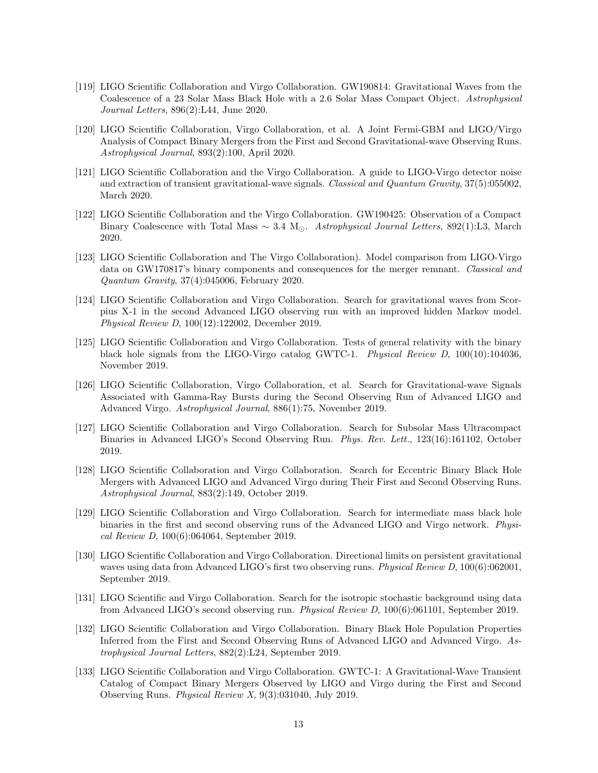- [119] LIGO Scientific Collaboration and Virgo Collaboration. GW190814: Gravitational Waves from the Coalescence of a 23 Solar Mass Black Hole with a 2.6 Solar Mass Compact Object. *Astrophysical Journal Letters*, 896(2):L44, June 2020.
- [120] LIGO Scientific Collaboration, Virgo Collaboration, et al. A Joint Fermi-GBM and LIGO/Virgo Analysis of Compact Binary Mergers from the First and Second Gravitational-wave Observing Runs. *Astrophysical Journal*, 893(2):100, April 2020.
- [121] LIGO Scientific Collaboration and the Virgo Collaboration. A guide to LIGO-Virgo detector noise and extraction of transient gravitational-wave signals. *Classical and Quantum Gravity*, 37(5):055002, March 2020.
- [122] LIGO Scientific Collaboration and the Virgo Collaboration. GW190425: Observation of a Compact Binary Coalescence with Total Mass  $\sim 3.4 \, \text{M}_\odot$ . *Astrophysical Journal Letters*, 892(1):L3, March 2020.
- [123] LIGO Scientific Collaboration and The Virgo Collaboration). Model comparison from LIGO-Virgo data on GW170817's binary components and consequences for the merger remnant. *Classical and Quantum Gravity*, 37(4):045006, February 2020.
- [124] LIGO Scientific Collaboration and Virgo Collaboration. Search for gravitational waves from Scorpius X-1 in the second Advanced LIGO observing run with an improved hidden Markov model. *Physical Review D*, 100(12):122002, December 2019.
- [125] LIGO Scientific Collaboration and Virgo Collaboration. Tests of general relativity with the binary black hole signals from the LIGO-Virgo catalog GWTC-1. *Physical Review D*, 100(10):104036, November 2019.
- [126] LIGO Scientific Collaboration, Virgo Collaboration, et al. Search for Gravitational-wave Signals Associated with Gamma-Ray Bursts during the Second Observing Run of Advanced LIGO and Advanced Virgo. *Astrophysical Journal*, 886(1):75, November 2019.
- [127] LIGO Scientific Collaboration and Virgo Collaboration. Search for Subsolar Mass Ultracompact Binaries in Advanced LIGO's Second Observing Run. *Phys. Rev. Lett.*, 123(16):161102, October 2019.
- [128] LIGO Scientific Collaboration and Virgo Collaboration. Search for Eccentric Binary Black Hole Mergers with Advanced LIGO and Advanced Virgo during Their First and Second Observing Runs. *Astrophysical Journal*, 883(2):149, October 2019.
- [129] LIGO Scientific Collaboration and Virgo Collaboration. Search for intermediate mass black hole binaries in the first and second observing runs of the Advanced LIGO and Virgo network. *Physical Review D*, 100(6):064064, September 2019.
- [130] LIGO Scientific Collaboration and Virgo Collaboration. Directional limits on persistent gravitational waves using data from Advanced LIGO's first two observing runs. *Physical Review D*, 100(6):062001, September 2019.
- [131] LIGO Scientific and Virgo Collaboration. Search for the isotropic stochastic background using data from Advanced LIGO's second observing run. *Physical Review D*, 100(6):061101, September 2019.
- [132] LIGO Scientific Collaboration and Virgo Collaboration. Binary Black Hole Population Properties Inferred from the First and Second Observing Runs of Advanced LIGO and Advanced Virgo. *Astrophysical Journal Letters*, 882(2):L24, September 2019.
- [133] LIGO Scientific Collaboration and Virgo Collaboration. GWTC-1: A Gravitational-Wave Transient Catalog of Compact Binary Mergers Observed by LIGO and Virgo during the First and Second Observing Runs. *Physical Review X*, 9(3):031040, July 2019.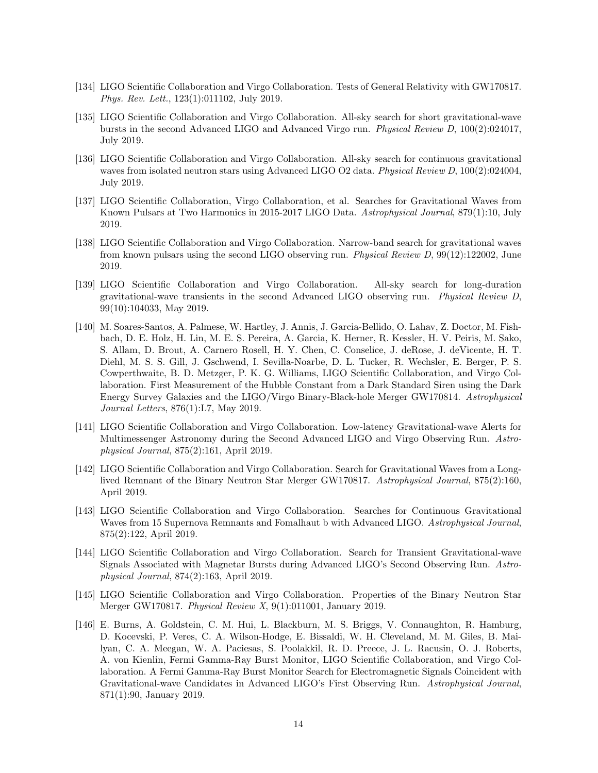- [134] LIGO Scientific Collaboration and Virgo Collaboration. Tests of General Relativity with GW170817. *Phys. Rev. Lett.*, 123(1):011102, July 2019.
- [135] LIGO Scientific Collaboration and Virgo Collaboration. All-sky search for short gravitational-wave bursts in the second Advanced LIGO and Advanced Virgo run. *Physical Review D*, 100(2):024017, July 2019.
- [136] LIGO Scientific Collaboration and Virgo Collaboration. All-sky search for continuous gravitational waves from isolated neutron stars using Advanced LIGO O2 data. *Physical Review D*, 100(2):024004, July 2019.
- [137] LIGO Scientific Collaboration, Virgo Collaboration, et al. Searches for Gravitational Waves from Known Pulsars at Two Harmonics in 2015-2017 LIGO Data. *Astrophysical Journal*, 879(1):10, July 2019.
- [138] LIGO Scientific Collaboration and Virgo Collaboration. Narrow-band search for gravitational waves from known pulsars using the second LIGO observing run. *Physical Review D*, 99(12):122002, June 2019.
- [139] LIGO Scientific Collaboration and Virgo Collaboration. All-sky search for long-duration gravitational-wave transients in the second Advanced LIGO observing run. *Physical Review D*, 99(10):104033, May 2019.
- [140] M. Soares-Santos, A. Palmese, W. Hartley, J. Annis, J. Garcia-Bellido, O. Lahav, Z. Doctor, M. Fishbach, D. E. Holz, H. Lin, M. E. S. Pereira, A. Garcia, K. Herner, R. Kessler, H. V. Peiris, M. Sako, S. Allam, D. Brout, A. Carnero Rosell, H. Y. Chen, C. Conselice, J. deRose, J. deVicente, H. T. Diehl, M. S. S. Gill, J. Gschwend, I. Sevilla-Noarbe, D. L. Tucker, R. Wechsler, E. Berger, P. S. Cowperthwaite, B. D. Metzger, P. K. G. Williams, LIGO Scientific Collaboration, and Virgo Collaboration. First Measurement of the Hubble Constant from a Dark Standard Siren using the Dark Energy Survey Galaxies and the LIGO/Virgo Binary-Black-hole Merger GW170814. *Astrophysical Journal Letters*, 876(1):L7, May 2019.
- [141] LIGO Scientific Collaboration and Virgo Collaboration. Low-latency Gravitational-wave Alerts for Multimessenger Astronomy during the Second Advanced LIGO and Virgo Observing Run. *Astrophysical Journal*, 875(2):161, April 2019.
- [142] LIGO Scientific Collaboration and Virgo Collaboration. Search for Gravitational Waves from a Longlived Remnant of the Binary Neutron Star Merger GW170817. *Astrophysical Journal*, 875(2):160, April 2019.
- [143] LIGO Scientific Collaboration and Virgo Collaboration. Searches for Continuous Gravitational Waves from 15 Supernova Remnants and Fomalhaut b with Advanced LIGO. *Astrophysical Journal*, 875(2):122, April 2019.
- [144] LIGO Scientific Collaboration and Virgo Collaboration. Search for Transient Gravitational-wave Signals Associated with Magnetar Bursts during Advanced LIGO's Second Observing Run. *Astrophysical Journal*, 874(2):163, April 2019.
- [145] LIGO Scientific Collaboration and Virgo Collaboration. Properties of the Binary Neutron Star Merger GW170817. *Physical Review X*, 9(1):011001, January 2019.
- [146] E. Burns, A. Goldstein, C. M. Hui, L. Blackburn, M. S. Briggs, V. Connaughton, R. Hamburg, D. Kocevski, P. Veres, C. A. Wilson-Hodge, E. Bissaldi, W. H. Cleveland, M. M. Giles, B. Mailyan, C. A. Meegan, W. A. Paciesas, S. Poolakkil, R. D. Preece, J. L. Racusin, O. J. Roberts, A. von Kienlin, Fermi Gamma-Ray Burst Monitor, LIGO Scientific Collaboration, and Virgo Collaboration. A Fermi Gamma-Ray Burst Monitor Search for Electromagnetic Signals Coincident with Gravitational-wave Candidates in Advanced LIGO's First Observing Run. *Astrophysical Journal*, 871(1):90, January 2019.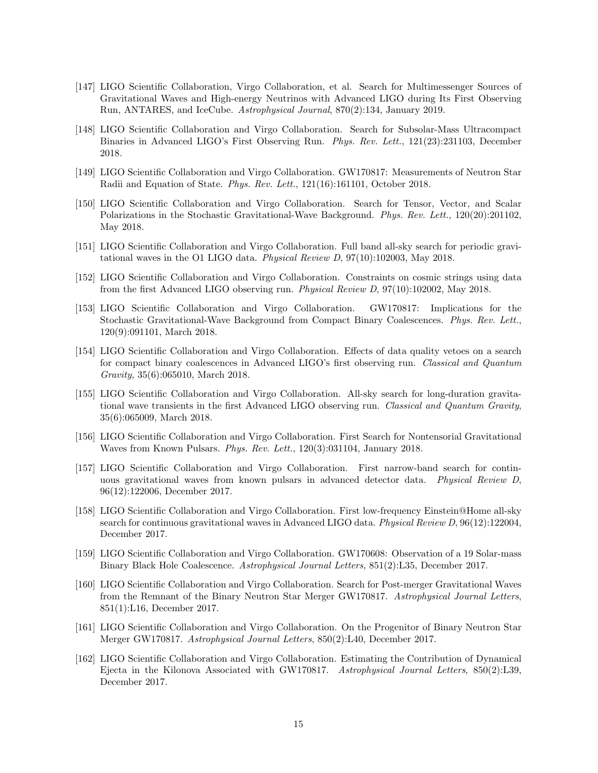- [147] LIGO Scientific Collaboration, Virgo Collaboration, et al. Search for Multimessenger Sources of Gravitational Waves and High-energy Neutrinos with Advanced LIGO during Its First Observing Run, ANTARES, and IceCube. *Astrophysical Journal*, 870(2):134, January 2019.
- [148] LIGO Scientific Collaboration and Virgo Collaboration. Search for Subsolar-Mass Ultracompact Binaries in Advanced LIGO's First Observing Run. *Phys. Rev. Lett.*, 121(23):231103, December 2018.
- [149] LIGO Scientific Collaboration and Virgo Collaboration. GW170817: Measurements of Neutron Star Radii and Equation of State. *Phys. Rev. Lett.*, 121(16):161101, October 2018.
- [150] LIGO Scientific Collaboration and Virgo Collaboration. Search for Tensor, Vector, and Scalar Polarizations in the Stochastic Gravitational-Wave Background. *Phys. Rev. Lett.*, 120(20):201102, May 2018.
- [151] LIGO Scientific Collaboration and Virgo Collaboration. Full band all-sky search for periodic gravitational waves in the O1 LIGO data. *Physical Review D*, 97(10):102003, May 2018.
- [152] LIGO Scientific Collaboration and Virgo Collaboration. Constraints on cosmic strings using data from the first Advanced LIGO observing run. *Physical Review D*, 97(10):102002, May 2018.
- [153] LIGO Scientific Collaboration and Virgo Collaboration. GW170817: Implications for the Stochastic Gravitational-Wave Background from Compact Binary Coalescences. *Phys. Rev. Lett.*, 120(9):091101, March 2018.
- [154] LIGO Scientific Collaboration and Virgo Collaboration. Effects of data quality vetoes on a search for compact binary coalescences in Advanced LIGO's first observing run. *Classical and Quantum Gravity*, 35(6):065010, March 2018.
- [155] LIGO Scientific Collaboration and Virgo Collaboration. All-sky search for long-duration gravitational wave transients in the first Advanced LIGO observing run. *Classical and Quantum Gravity*, 35(6):065009, March 2018.
- [156] LIGO Scientific Collaboration and Virgo Collaboration. First Search for Nontensorial Gravitational Waves from Known Pulsars. *Phys. Rev. Lett.*, 120(3):031104, January 2018.
- [157] LIGO Scientific Collaboration and Virgo Collaboration. First narrow-band search for continuous gravitational waves from known pulsars in advanced detector data. *Physical Review D*, 96(12):122006, December 2017.
- [158] LIGO Scientific Collaboration and Virgo Collaboration. First low-frequency Einstein@Home all-sky search for continuous gravitational waves in Advanced LIGO data. *Physical Review D*, 96(12):122004, December 2017.
- [159] LIGO Scientific Collaboration and Virgo Collaboration. GW170608: Observation of a 19 Solar-mass Binary Black Hole Coalescence. *Astrophysical Journal Letters*, 851(2):L35, December 2017.
- [160] LIGO Scientific Collaboration and Virgo Collaboration. Search for Post-merger Gravitational Waves from the Remnant of the Binary Neutron Star Merger GW170817. *Astrophysical Journal Letters*, 851(1):L16, December 2017.
- [161] LIGO Scientific Collaboration and Virgo Collaboration. On the Progenitor of Binary Neutron Star Merger GW170817. *Astrophysical Journal Letters*, 850(2):L40, December 2017.
- [162] LIGO Scientific Collaboration and Virgo Collaboration. Estimating the Contribution of Dynamical Ejecta in the Kilonova Associated with GW170817. *Astrophysical Journal Letters*, 850(2):L39, December 2017.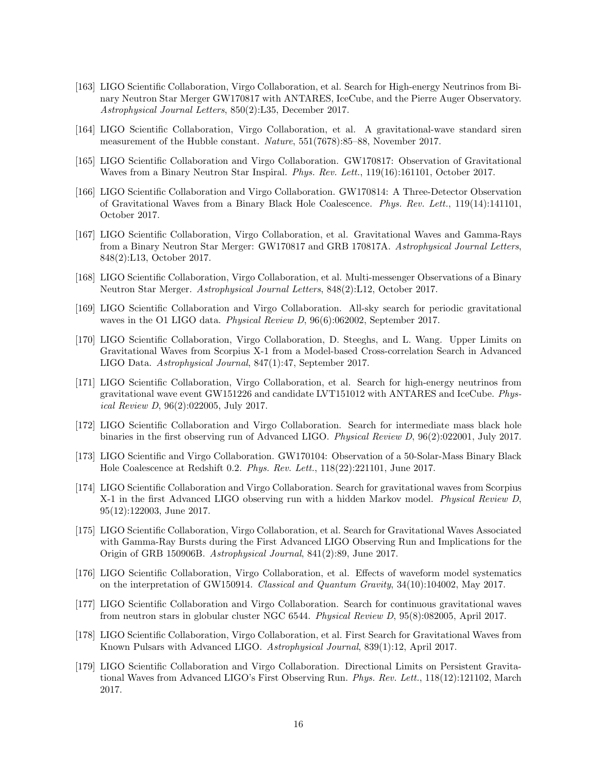- [163] LIGO Scientific Collaboration, Virgo Collaboration, et al. Search for High-energy Neutrinos from Binary Neutron Star Merger GW170817 with ANTARES, IceCube, and the Pierre Auger Observatory. *Astrophysical Journal Letters*, 850(2):L35, December 2017.
- [164] LIGO Scientific Collaboration, Virgo Collaboration, et al. A gravitational-wave standard siren measurement of the Hubble constant. *Nature*, 551(7678):85–88, November 2017.
- [165] LIGO Scientific Collaboration and Virgo Collaboration. GW170817: Observation of Gravitational Waves from a Binary Neutron Star Inspiral. *Phys. Rev. Lett.*, 119(16):161101, October 2017.
- [166] LIGO Scientific Collaboration and Virgo Collaboration. GW170814: A Three-Detector Observation of Gravitational Waves from a Binary Black Hole Coalescence. *Phys. Rev. Lett.*, 119(14):141101, October 2017.
- [167] LIGO Scientific Collaboration, Virgo Collaboration, et al. Gravitational Waves and Gamma-Rays from a Binary Neutron Star Merger: GW170817 and GRB 170817A. *Astrophysical Journal Letters*, 848(2):L13, October 2017.
- [168] LIGO Scientific Collaboration, Virgo Collaboration, et al. Multi-messenger Observations of a Binary Neutron Star Merger. *Astrophysical Journal Letters*, 848(2):L12, October 2017.
- [169] LIGO Scientific Collaboration and Virgo Collaboration. All-sky search for periodic gravitational waves in the O1 LIGO data. *Physical Review D*, 96(6):062002, September 2017.
- [170] LIGO Scientific Collaboration, Virgo Collaboration, D. Steeghs, and L. Wang. Upper Limits on Gravitational Waves from Scorpius X-1 from a Model-based Cross-correlation Search in Advanced LIGO Data. *Astrophysical Journal*, 847(1):47, September 2017.
- [171] LIGO Scientific Collaboration, Virgo Collaboration, et al. Search for high-energy neutrinos from gravitational wave event GW151226 and candidate LVT151012 with ANTARES and IceCube. *Physical Review D*, 96(2):022005, July 2017.
- [172] LIGO Scientific Collaboration and Virgo Collaboration. Search for intermediate mass black hole binaries in the first observing run of Advanced LIGO. *Physical Review D*, 96(2):022001, July 2017.
- [173] LIGO Scientific and Virgo Collaboration. GW170104: Observation of a 50-Solar-Mass Binary Black Hole Coalescence at Redshift 0.2. *Phys. Rev. Lett.*, 118(22):221101, June 2017.
- [174] LIGO Scientific Collaboration and Virgo Collaboration. Search for gravitational waves from Scorpius X-1 in the first Advanced LIGO observing run with a hidden Markov model. *Physical Review D*, 95(12):122003, June 2017.
- [175] LIGO Scientific Collaboration, Virgo Collaboration, et al. Search for Gravitational Waves Associated with Gamma-Ray Bursts during the First Advanced LIGO Observing Run and Implications for the Origin of GRB 150906B. *Astrophysical Journal*, 841(2):89, June 2017.
- [176] LIGO Scientific Collaboration, Virgo Collaboration, et al. Effects of waveform model systematics on the interpretation of GW150914. *Classical and Quantum Gravity*, 34(10):104002, May 2017.
- [177] LIGO Scientific Collaboration and Virgo Collaboration. Search for continuous gravitational waves from neutron stars in globular cluster NGC 6544. *Physical Review D*, 95(8):082005, April 2017.
- [178] LIGO Scientific Collaboration, Virgo Collaboration, et al. First Search for Gravitational Waves from Known Pulsars with Advanced LIGO. *Astrophysical Journal*, 839(1):12, April 2017.
- [179] LIGO Scientific Collaboration and Virgo Collaboration. Directional Limits on Persistent Gravitational Waves from Advanced LIGO's First Observing Run. *Phys. Rev. Lett.*, 118(12):121102, March 2017.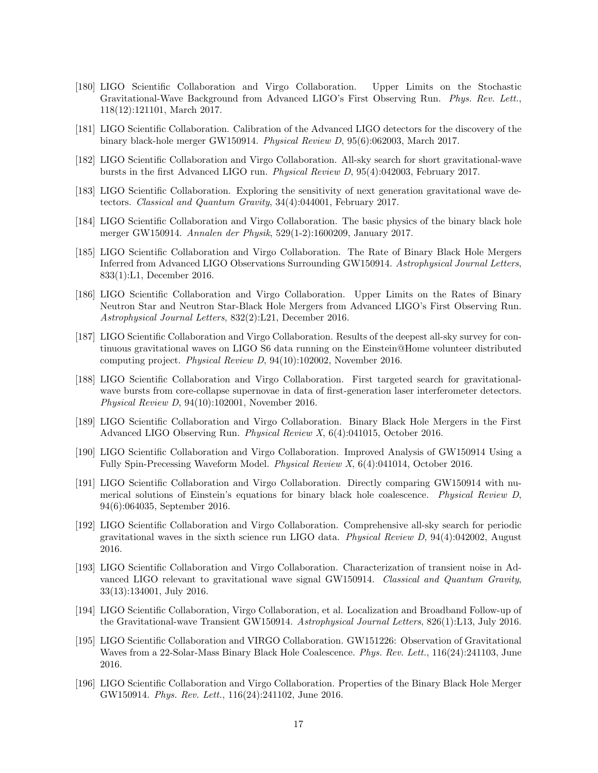- [180] LIGO Scientific Collaboration and Virgo Collaboration. Upper Limits on the Stochastic Gravitational-Wave Background from Advanced LIGO's First Observing Run. *Phys. Rev. Lett.*, 118(12):121101, March 2017.
- [181] LIGO Scientific Collaboration. Calibration of the Advanced LIGO detectors for the discovery of the binary black-hole merger GW150914. *Physical Review D*, 95(6):062003, March 2017.
- [182] LIGO Scientific Collaboration and Virgo Collaboration. All-sky search for short gravitational-wave bursts in the first Advanced LIGO run. *Physical Review D*, 95(4):042003, February 2017.
- [183] LIGO Scientific Collaboration. Exploring the sensitivity of next generation gravitational wave detectors. *Classical and Quantum Gravity*, 34(4):044001, February 2017.
- [184] LIGO Scientific Collaboration and Virgo Collaboration. The basic physics of the binary black hole merger GW150914. *Annalen der Physik*, 529(1-2):1600209, January 2017.
- [185] LIGO Scientific Collaboration and Virgo Collaboration. The Rate of Binary Black Hole Mergers Inferred from Advanced LIGO Observations Surrounding GW150914. *Astrophysical Journal Letters*, 833(1):L1, December 2016.
- [186] LIGO Scientific Collaboration and Virgo Collaboration. Upper Limits on the Rates of Binary Neutron Star and Neutron Star-Black Hole Mergers from Advanced LIGO's First Observing Run. *Astrophysical Journal Letters*, 832(2):L21, December 2016.
- [187] LIGO Scientific Collaboration and Virgo Collaboration. Results of the deepest all-sky survey for continuous gravitational waves on LIGO S6 data running on the Einstein@Home volunteer distributed computing project. *Physical Review D*, 94(10):102002, November 2016.
- [188] LIGO Scientific Collaboration and Virgo Collaboration. First targeted search for gravitationalwave bursts from core-collapse supernovae in data of first-generation laser interferometer detectors. *Physical Review D*, 94(10):102001, November 2016.
- [189] LIGO Scientific Collaboration and Virgo Collaboration. Binary Black Hole Mergers in the First Advanced LIGO Observing Run. *Physical Review X*, 6(4):041015, October 2016.
- [190] LIGO Scientific Collaboration and Virgo Collaboration. Improved Analysis of GW150914 Using a Fully Spin-Precessing Waveform Model. *Physical Review X*, 6(4):041014, October 2016.
- [191] LIGO Scientific Collaboration and Virgo Collaboration. Directly comparing GW150914 with numerical solutions of Einstein's equations for binary black hole coalescence. *Physical Review D*, 94(6):064035, September 2016.
- [192] LIGO Scientific Collaboration and Virgo Collaboration. Comprehensive all-sky search for periodic gravitational waves in the sixth science run LIGO data. *Physical Review D*, 94(4):042002, August 2016.
- [193] LIGO Scientific Collaboration and Virgo Collaboration. Characterization of transient noise in Advanced LIGO relevant to gravitational wave signal GW150914. *Classical and Quantum Gravity*, 33(13):134001, July 2016.
- [194] LIGO Scientific Collaboration, Virgo Collaboration, et al. Localization and Broadband Follow-up of the Gravitational-wave Transient GW150914. *Astrophysical Journal Letters*, 826(1):L13, July 2016.
- [195] LIGO Scientific Collaboration and VIRGO Collaboration. GW151226: Observation of Gravitational Waves from a 22-Solar-Mass Binary Black Hole Coalescence. *Phys. Rev. Lett.*, 116(24):241103, June 2016.
- [196] LIGO Scientific Collaboration and Virgo Collaboration. Properties of the Binary Black Hole Merger GW150914. *Phys. Rev. Lett.*, 116(24):241102, June 2016.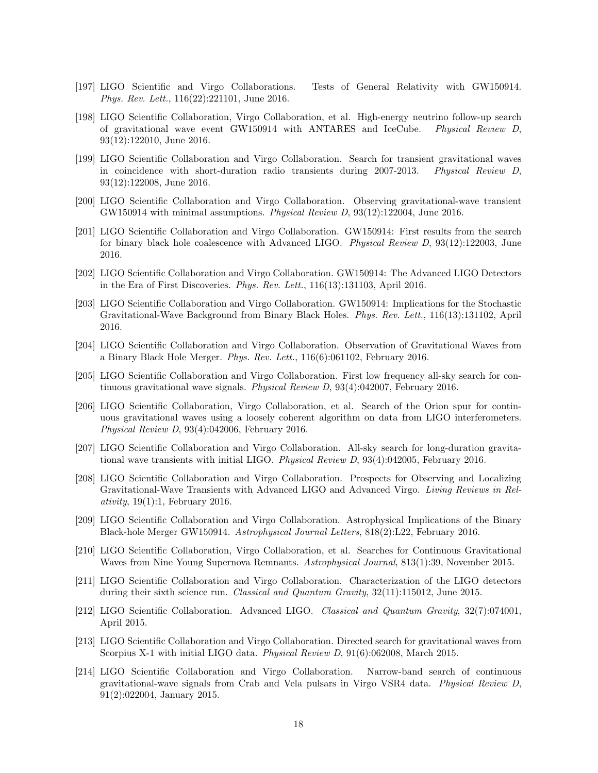- [197] LIGO Scientific and Virgo Collaborations. Tests of General Relativity with GW150914. *Phys. Rev. Lett.*, 116(22):221101, June 2016.
- [198] LIGO Scientific Collaboration, Virgo Collaboration, et al. High-energy neutrino follow-up search of gravitational wave event GW150914 with ANTARES and IceCube. *Physical Review D*, 93(12):122010, June 2016.
- [199] LIGO Scientific Collaboration and Virgo Collaboration. Search for transient gravitational waves in coincidence with short-duration radio transients during 2007-2013. *Physical Review D*, 93(12):122008, June 2016.
- [200] LIGO Scientific Collaboration and Virgo Collaboration. Observing gravitational-wave transient GW150914 with minimal assumptions. *Physical Review D*, 93(12):122004, June 2016.
- [201] LIGO Scientific Collaboration and Virgo Collaboration. GW150914: First results from the search for binary black hole coalescence with Advanced LIGO. *Physical Review D*, 93(12):122003, June 2016.
- [202] LIGO Scientific Collaboration and Virgo Collaboration. GW150914: The Advanced LIGO Detectors in the Era of First Discoveries. *Phys. Rev. Lett.*, 116(13):131103, April 2016.
- [203] LIGO Scientific Collaboration and Virgo Collaboration. GW150914: Implications for the Stochastic Gravitational-Wave Background from Binary Black Holes. *Phys. Rev. Lett.*, 116(13):131102, April 2016.
- [204] LIGO Scientific Collaboration and Virgo Collaboration. Observation of Gravitational Waves from a Binary Black Hole Merger. *Phys. Rev. Lett.*, 116(6):061102, February 2016.
- [205] LIGO Scientific Collaboration and Virgo Collaboration. First low frequency all-sky search for continuous gravitational wave signals. *Physical Review D*, 93(4):042007, February 2016.
- [206] LIGO Scientific Collaboration, Virgo Collaboration, et al. Search of the Orion spur for continuous gravitational waves using a loosely coherent algorithm on data from LIGO interferometers. *Physical Review D*, 93(4):042006, February 2016.
- [207] LIGO Scientific Collaboration and Virgo Collaboration. All-sky search for long-duration gravitational wave transients with initial LIGO. *Physical Review D*, 93(4):042005, February 2016.
- [208] LIGO Scientific Collaboration and Virgo Collaboration. Prospects for Observing and Localizing Gravitational-Wave Transients with Advanced LIGO and Advanced Virgo. *Living Reviews in Relativity*, 19(1):1, February 2016.
- [209] LIGO Scientific Collaboration and Virgo Collaboration. Astrophysical Implications of the Binary Black-hole Merger GW150914. *Astrophysical Journal Letters*, 818(2):L22, February 2016.
- [210] LIGO Scientific Collaboration, Virgo Collaboration, et al. Searches for Continuous Gravitational Waves from Nine Young Supernova Remnants. *Astrophysical Journal*, 813(1):39, November 2015.
- [211] LIGO Scientific Collaboration and Virgo Collaboration. Characterization of the LIGO detectors during their sixth science run. *Classical and Quantum Gravity*, 32(11):115012, June 2015.
- [212] LIGO Scientific Collaboration. Advanced LIGO. *Classical and Quantum Gravity*, 32(7):074001, April 2015.
- [213] LIGO Scientific Collaboration and Virgo Collaboration. Directed search for gravitational waves from Scorpius X-1 with initial LIGO data. *Physical Review D*, 91(6):062008, March 2015.
- [214] LIGO Scientific Collaboration and Virgo Collaboration. Narrow-band search of continuous gravitational-wave signals from Crab and Vela pulsars in Virgo VSR4 data. *Physical Review D*, 91(2):022004, January 2015.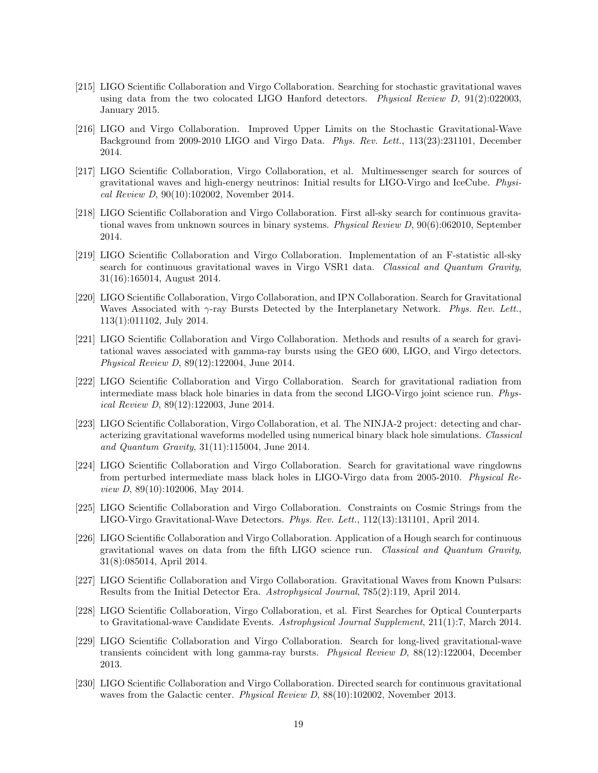- [215] LIGO Scientific Collaboration and Virgo Collaboration. Searching for stochastic gravitational waves using data from the two colocated LIGO Hanford detectors. *Physical Review D*, 91(2):022003, January 2015.
- [216] LIGO and Virgo Collaboration. Improved Upper Limits on the Stochastic Gravitational-Wave Background from 2009-2010 LIGO and Virgo Data. *Phys. Rev. Lett.*, 113(23):231101, December 2014.
- [217] LIGO Scientific Collaboration, Virgo Collaboration, et al. Multimessenger search for sources of gravitational waves and high-energy neutrinos: Initial results for LIGO-Virgo and IceCube. *Physical Review D*, 90(10):102002, November 2014.
- [218] LIGO Scientific Collaboration and Virgo Collaboration. First all-sky search for continuous gravitational waves from unknown sources in binary systems. *Physical Review D*, 90(6):062010, September 2014.
- [219] LIGO Scientific Collaboration and Virgo Collaboration. Implementation of an F-statistic all-sky search for continuous gravitational waves in Virgo VSR1 data. *Classical and Quantum Gravity*, 31(16):165014, August 2014.
- [220] LIGO Scientific Collaboration, Virgo Collaboration, and IPN Collaboration. Search for Gravitational Waves Associated with  $\gamma$ -ray Bursts Detected by the Interplanetary Network. *Phys. Rev. Lett.*, 113(1):011102, July 2014.
- [221] LIGO Scientific Collaboration and Virgo Collaboration. Methods and results of a search for gravitational waves associated with gamma-ray bursts using the GEO 600, LIGO, and Virgo detectors. *Physical Review D*, 89(12):122004, June 2014.
- [222] LIGO Scientific Collaboration and Virgo Collaboration. Search for gravitational radiation from intermediate mass black hole binaries in data from the second LIGO-Virgo joint science run. *Physical Review D*, 89(12):122003, June 2014.
- [223] LIGO Scientific Collaboration, Virgo Collaboration, et al. The NINJA-2 project: detecting and characterizing gravitational waveforms modelled using numerical binary black hole simulations. *Classical and Quantum Gravity*, 31(11):115004, June 2014.
- [224] LIGO Scientific Collaboration and Virgo Collaboration. Search for gravitational wave ringdowns from perturbed intermediate mass black holes in LIGO-Virgo data from 2005-2010. *Physical Review D*, 89(10):102006, May 2014.
- [225] LIGO Scientific Collaboration and Virgo Collaboration. Constraints on Cosmic Strings from the LIGO-Virgo Gravitational-Wave Detectors. *Phys. Rev. Lett.*, 112(13):131101, April 2014.
- [226] LIGO Scientific Collaboration and Virgo Collaboration. Application of a Hough search for continuous gravitational waves on data from the fifth LIGO science run. *Classical and Quantum Gravity*, 31(8):085014, April 2014.
- [227] LIGO Scientific Collaboration and Virgo Collaboration. Gravitational Waves from Known Pulsars: Results from the Initial Detector Era. *Astrophysical Journal*, 785(2):119, April 2014.
- [228] LIGO Scientific Collaboration, Virgo Collaboration, et al. First Searches for Optical Counterparts to Gravitational-wave Candidate Events. *Astrophysical Journal Supplement*, 211(1):7, March 2014.
- [229] LIGO Scientific Collaboration and Virgo Collaboration. Search for long-lived gravitational-wave transients coincident with long gamma-ray bursts. *Physical Review D*, 88(12):122004, December 2013.
- [230] LIGO Scientific Collaboration and Virgo Collaboration. Directed search for continuous gravitational waves from the Galactic center. *Physical Review D*, 88(10):102002, November 2013.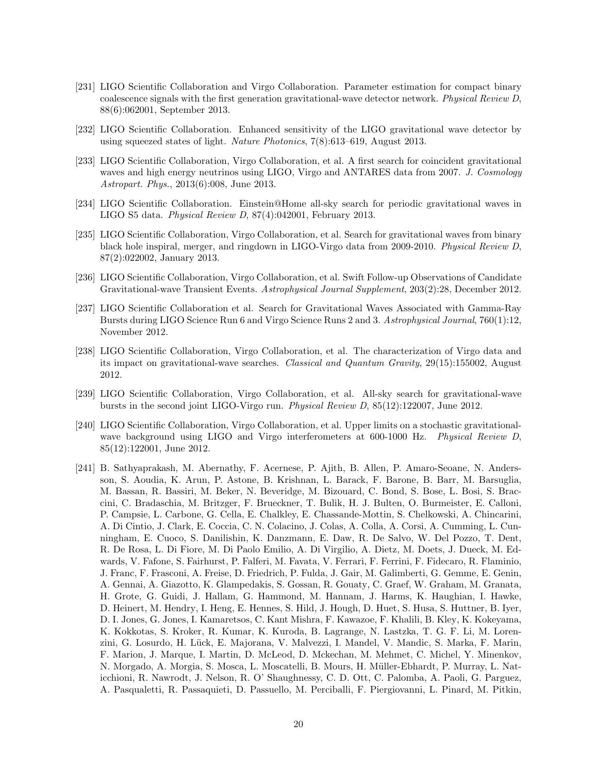- [231] LIGO Scientific Collaboration and Virgo Collaboration. Parameter estimation for compact binary coalescence signals with the first generation gravitational-wave detector network. *Physical Review D*, 88(6):062001, September 2013.
- [232] LIGO Scientific Collaboration. Enhanced sensitivity of the LIGO gravitational wave detector by using squeezed states of light. *Nature Photonics*, 7(8):613–619, August 2013.
- [233] LIGO Scientific Collaboration, Virgo Collaboration, et al. A first search for coincident gravitational waves and high energy neutrinos using LIGO, Virgo and ANTARES data from 2007. *J. Cosmology Astropart. Phys.*, 2013(6):008, June 2013.
- [234] LIGO Scientific Collaboration. Einstein@Home all-sky search for periodic gravitational waves in LIGO S5 data. *Physical Review D*, 87(4):042001, February 2013.
- [235] LIGO Scientific Collaboration, Virgo Collaboration, et al. Search for gravitational waves from binary black hole inspiral, merger, and ringdown in LIGO-Virgo data from 2009-2010. *Physical Review D*, 87(2):022002, January 2013.
- [236] LIGO Scientific Collaboration, Virgo Collaboration, et al. Swift Follow-up Observations of Candidate Gravitational-wave Transient Events. *Astrophysical Journal Supplement*, 203(2):28, December 2012.
- [237] LIGO Scientific Collaboration et al. Search for Gravitational Waves Associated with Gamma-Ray Bursts during LIGO Science Run 6 and Virgo Science Runs 2 and 3. *Astrophysical Journal*, 760(1):12, November 2012.
- [238] LIGO Scientific Collaboration, Virgo Collaboration, et al. The characterization of Virgo data and its impact on gravitational-wave searches. *Classical and Quantum Gravity*, 29(15):155002, August 2012.
- [239] LIGO Scientific Collaboration, Virgo Collaboration, et al. All-sky search for gravitational-wave bursts in the second joint LIGO-Virgo run. *Physical Review D*, 85(12):122007, June 2012.
- [240] LIGO Scientific Collaboration, Virgo Collaboration, et al. Upper limits on a stochastic gravitationalwave background using LIGO and Virgo interferometers at 600-1000 Hz. *Physical Review D*, 85(12):122001, June 2012.
- [241] B. Sathyaprakash, M. Abernathy, F. Acernese, P. Ajith, B. Allen, P. Amaro-Seoane, N. Andersson, S. Aoudia, K. Arun, P. Astone, B. Krishnan, L. Barack, F. Barone, B. Barr, M. Barsuglia, M. Bassan, R. Bassiri, M. Beker, N. Beveridge, M. Bizouard, C. Bond, S. Bose, L. Bosi, S. Braccini, C. Bradaschia, M. Britzger, F. Brueckner, T. Bulik, H. J. Bulten, O. Burmeister, E. Calloni, P. Campsie, L. Carbone, G. Cella, E. Chalkley, E. Chassande-Mottin, S. Chelkowski, A. Chincarini, A. Di Cintio, J. Clark, E. Coccia, C. N. Colacino, J. Colas, A. Colla, A. Corsi, A. Cumming, L. Cunningham, E. Cuoco, S. Danilishin, K. Danzmann, E. Daw, R. De Salvo, W. Del Pozzo, T. Dent, R. De Rosa, L. Di Fiore, M. Di Paolo Emilio, A. Di Virgilio, A. Dietz, M. Doets, J. Dueck, M. Edwards, V. Fafone, S. Fairhurst, P. Falferi, M. Favata, V. Ferrari, F. Ferrini, F. Fidecaro, R. Flaminio, J. Franc, F. Frasconi, A. Freise, D. Friedrich, P. Fulda, J. Gair, M. Galimberti, G. Gemme, E. Genin, A. Gennai, A. Giazotto, K. Glampedakis, S. Gossan, R. Gouaty, C. Graef, W. Graham, M. Granata, H. Grote, G. Guidi, J. Hallam, G. Hammond, M. Hannam, J. Harms, K. Haughian, I. Hawke, D. Heinert, M. Hendry, I. Heng, E. Hennes, S. Hild, J. Hough, D. Huet, S. Husa, S. Huttner, B. Iyer, D. I. Jones, G. Jones, I. Kamaretsos, C. Kant Mishra, F. Kawazoe, F. Khalili, B. Kley, K. Kokeyama, K. Kokkotas, S. Kroker, R. Kumar, K. Kuroda, B. Lagrange, N. Lastzka, T. G. F. Li, M. Lorenzini, G. Losurdo, H. Lück, E. Majorana, V. Malvezzi, I. Mandel, V. Mandic, S. Marka, F. Marin, F. Marion, J. Marque, I. Martin, D. McLeod, D. Mckechan, M. Mehmet, C. Michel, Y. Minenkov, N. Morgado, A. Morgia, S. Mosca, L. Moscatelli, B. Mours, H. Müller-Ebhardt, P. Murray, L. Naticchioni, R. Nawrodt, J. Nelson, R. O' Shaughnessy, C. D. Ott, C. Palomba, A. Paoli, G. Parguez, A. Pasqualetti, R. Passaquieti, D. Passuello, M. Perciballi, F. Piergiovanni, L. Pinard, M. Pitkin,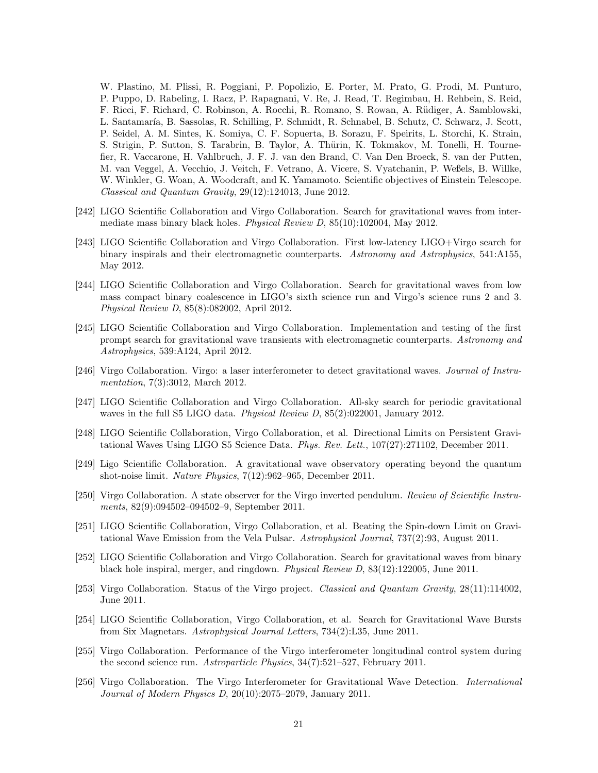W. Plastino, M. Plissi, R. Poggiani, P. Popolizio, E. Porter, M. Prato, G. Prodi, M. Punturo, P. Puppo, D. Rabeling, I. Racz, P. Rapagnani, V. Re, J. Read, T. Regimbau, H. Rehbein, S. Reid, F. Ricci, F. Richard, C. Robinson, A. Rocchi, R. Romano, S. Rowan, A. Rüdiger, A. Samblowski, L. Santamaría, B. Sassolas, R. Schilling, P. Schmidt, R. Schnabel, B. Schutz, C. Schwarz, J. Scott, P. Seidel, A. M. Sintes, K. Somiya, C. F. Sopuerta, B. Sorazu, F. Speirits, L. Storchi, K. Strain, S. Strigin, P. Sutton, S. Tarabrin, B. Taylor, A. Thürin, K. Tokmakov, M. Tonelli, H. Tournefier, R. Vaccarone, H. Vahlbruch, J. F. J. van den Brand, C. Van Den Broeck, S. van der Putten, M. van Veggel, A. Vecchio, J. Veitch, F. Vetrano, A. Vicere, S. Vyatchanin, P. Weßels, B. Willke, W. Winkler, G. Woan, A. Woodcraft, and K. Yamamoto. Scientific objectives of Einstein Telescope. *Classical and Quantum Gravity*, 29(12):124013, June 2012.

- [242] LIGO Scientific Collaboration and Virgo Collaboration. Search for gravitational waves from intermediate mass binary black holes. *Physical Review D*, 85(10):102004, May 2012.
- [243] LIGO Scientific Collaboration and Virgo Collaboration. First low-latency LIGO+Virgo search for binary inspirals and their electromagnetic counterparts. *Astronomy and Astrophysics*, 541:A155, May 2012.
- [244] LIGO Scientific Collaboration and Virgo Collaboration. Search for gravitational waves from low mass compact binary coalescence in LIGO's sixth science run and Virgo's science runs 2 and 3. *Physical Review D*, 85(8):082002, April 2012.
- [245] LIGO Scientific Collaboration and Virgo Collaboration. Implementation and testing of the first prompt search for gravitational wave transients with electromagnetic counterparts. *Astronomy and Astrophysics*, 539:A124, April 2012.
- [246] Virgo Collaboration. Virgo: a laser interferometer to detect gravitational waves. *Journal of Instrumentation*, 7(3):3012, March 2012.
- [247] LIGO Scientific Collaboration and Virgo Collaboration. All-sky search for periodic gravitational waves in the full S5 LIGO data. *Physical Review D*, 85(2):022001, January 2012.
- [248] LIGO Scientific Collaboration, Virgo Collaboration, et al. Directional Limits on Persistent Gravitational Waves Using LIGO S5 Science Data. *Phys. Rev. Lett.*, 107(27):271102, December 2011.
- [249] Ligo Scientific Collaboration. A gravitational wave observatory operating beyond the quantum shot-noise limit. *Nature Physics*, 7(12):962–965, December 2011.
- [250] Virgo Collaboration. A state observer for the Virgo inverted pendulum. *Review of Scientific Instruments*, 82(9):094502–094502–9, September 2011.
- [251] LIGO Scientific Collaboration, Virgo Collaboration, et al. Beating the Spin-down Limit on Gravitational Wave Emission from the Vela Pulsar. *Astrophysical Journal*, 737(2):93, August 2011.
- [252] LIGO Scientific Collaboration and Virgo Collaboration. Search for gravitational waves from binary black hole inspiral, merger, and ringdown. *Physical Review D*, 83(12):122005, June 2011.
- [253] Virgo Collaboration. Status of the Virgo project. *Classical and Quantum Gravity*, 28(11):114002, June 2011.
- [254] LIGO Scientific Collaboration, Virgo Collaboration, et al. Search for Gravitational Wave Bursts from Six Magnetars. *Astrophysical Journal Letters*, 734(2):L35, June 2011.
- [255] Virgo Collaboration. Performance of the Virgo interferometer longitudinal control system during the second science run. *Astroparticle Physics*, 34(7):521–527, February 2011.
- [256] Virgo Collaboration. The Virgo Interferometer for Gravitational Wave Detection. *International Journal of Modern Physics D*, 20(10):2075–2079, January 2011.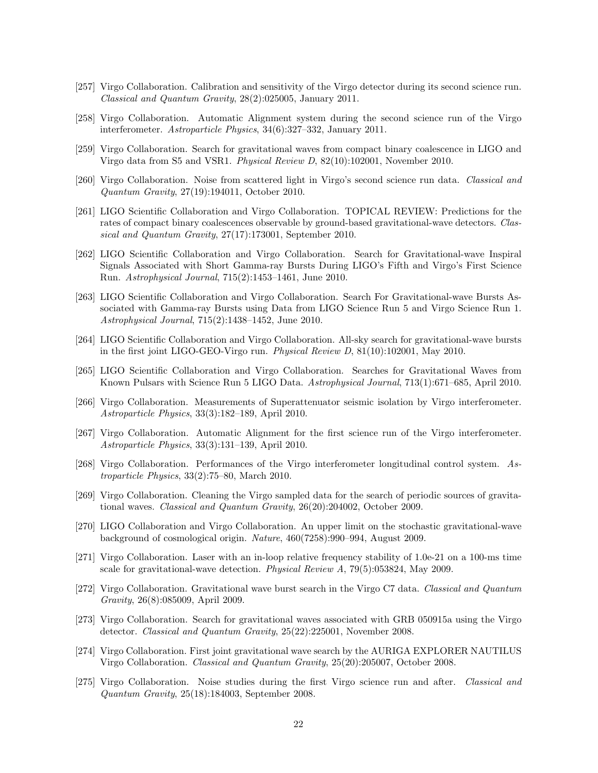- [257] Virgo Collaboration. Calibration and sensitivity of the Virgo detector during its second science run. *Classical and Quantum Gravity*, 28(2):025005, January 2011.
- [258] Virgo Collaboration. Automatic Alignment system during the second science run of the Virgo interferometer. *Astroparticle Physics*, 34(6):327–332, January 2011.
- [259] Virgo Collaboration. Search for gravitational waves from compact binary coalescence in LIGO and Virgo data from S5 and VSR1. *Physical Review D*, 82(10):102001, November 2010.
- [260] Virgo Collaboration. Noise from scattered light in Virgo's second science run data. *Classical and Quantum Gravity*, 27(19):194011, October 2010.
- [261] LIGO Scientific Collaboration and Virgo Collaboration. TOPICAL REVIEW: Predictions for the rates of compact binary coalescences observable by ground-based gravitational-wave detectors. *Classical and Quantum Gravity*, 27(17):173001, September 2010.
- [262] LIGO Scientific Collaboration and Virgo Collaboration. Search for Gravitational-wave Inspiral Signals Associated with Short Gamma-ray Bursts During LIGO's Fifth and Virgo's First Science Run. *Astrophysical Journal*, 715(2):1453–1461, June 2010.
- [263] LIGO Scientific Collaboration and Virgo Collaboration. Search For Gravitational-wave Bursts Associated with Gamma-ray Bursts using Data from LIGO Science Run 5 and Virgo Science Run 1. *Astrophysical Journal*, 715(2):1438–1452, June 2010.
- [264] LIGO Scientific Collaboration and Virgo Collaboration. All-sky search for gravitational-wave bursts in the first joint LIGO-GEO-Virgo run. *Physical Review D*, 81(10):102001, May 2010.
- [265] LIGO Scientific Collaboration and Virgo Collaboration. Searches for Gravitational Waves from Known Pulsars with Science Run 5 LIGO Data. *Astrophysical Journal*, 713(1):671–685, April 2010.
- [266] Virgo Collaboration. Measurements of Superattenuator seismic isolation by Virgo interferometer. *Astroparticle Physics*, 33(3):182–189, April 2010.
- [267] Virgo Collaboration. Automatic Alignment for the first science run of the Virgo interferometer. *Astroparticle Physics*, 33(3):131–139, April 2010.
- [268] Virgo Collaboration. Performances of the Virgo interferometer longitudinal control system. *Astroparticle Physics*, 33(2):75–80, March 2010.
- [269] Virgo Collaboration. Cleaning the Virgo sampled data for the search of periodic sources of gravitational waves. *Classical and Quantum Gravity*, 26(20):204002, October 2009.
- [270] LIGO Collaboration and Virgo Collaboration. An upper limit on the stochastic gravitational-wave background of cosmological origin. *Nature*, 460(7258):990–994, August 2009.
- [271] Virgo Collaboration. Laser with an in-loop relative frequency stability of 1.0e-21 on a 100-ms time scale for gravitational-wave detection. *Physical Review A*, 79(5):053824, May 2009.
- [272] Virgo Collaboration. Gravitational wave burst search in the Virgo C7 data. *Classical and Quantum Gravity*, 26(8):085009, April 2009.
- [273] Virgo Collaboration. Search for gravitational waves associated with GRB 050915a using the Virgo detector. *Classical and Quantum Gravity*, 25(22):225001, November 2008.
- [274] Virgo Collaboration. First joint gravitational wave search by the AURIGA EXPLORER NAUTILUS Virgo Collaboration. *Classical and Quantum Gravity*, 25(20):205007, October 2008.
- [275] Virgo Collaboration. Noise studies during the first Virgo science run and after. *Classical and Quantum Gravity*, 25(18):184003, September 2008.